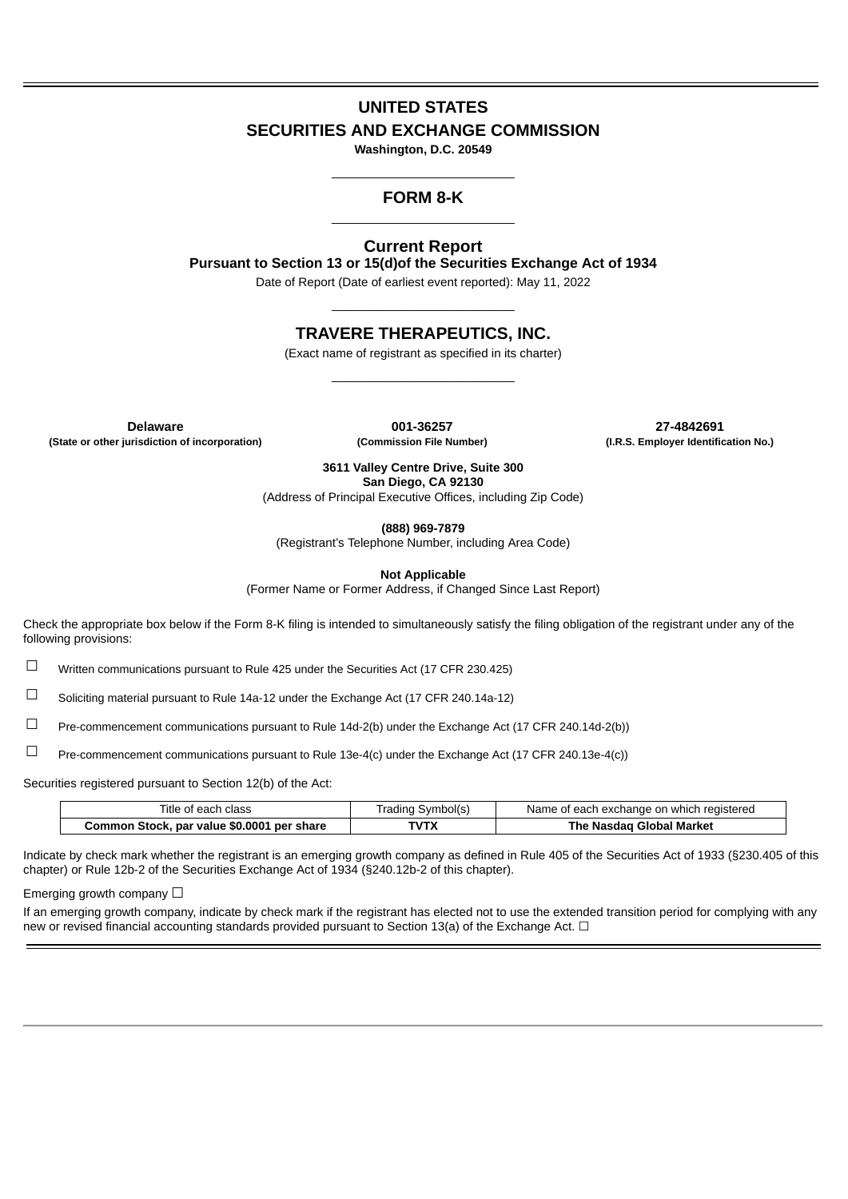# **UNITED STATES SECURITIES AND EXCHANGE COMMISSION**

**Washington, D.C. 20549** \_\_\_\_\_\_\_\_\_\_\_\_\_\_\_\_\_\_\_\_\_\_\_\_\_\_\_

# **FORM 8-K** \_\_\_\_\_\_\_\_\_\_\_\_\_\_\_\_\_\_\_\_\_\_\_\_\_\_\_

# **Current Report**

**Pursuant to Section 13 or 15(d)of the Securities Exchange Act of 1934**

Date of Report (Date of earliest event reported): May 11, 2022 \_\_\_\_\_\_\_\_\_\_\_\_\_\_\_\_\_\_\_\_\_\_\_\_\_\_\_

# **TRAVERE THERAPEUTICS, INC.**

(Exact name of registrant as specified in its charter) \_\_\_\_\_\_\_\_\_\_\_\_\_\_\_\_\_\_\_\_\_\_\_\_\_\_\_

**Delaware 001-36257 27-4842691 (State or other jurisdiction of incorporation) (Commission File Number) (I.R.S. Employer Identification No.)**

**3611 Valley Centre Drive, Suite 300 San Diego, CA 92130**

(Address of Principal Executive Offices, including Zip Code)

**(888) 969-7879**

(Registrant's Telephone Number, including Area Code)

**Not Applicable**

(Former Name or Former Address, if Changed Since Last Report)

Check the appropriate box below if the Form 8-K filing is intended to simultaneously satisfy the filing obligation of the registrant under any of the following provisions:

☐ Written communications pursuant to Rule 425 under the Securities Act (17 CFR 230.425)

☐ Soliciting material pursuant to Rule 14a-12 under the Exchange Act (17 CFR 240.14a-12)

☐ Pre-commencement communications pursuant to Rule 14d-2(b) under the Exchange Act (17 CFR 240.14d-2(b))

☐ Pre-commencement communications pursuant to Rule 13e-4(c) under the Exchange Act (17 CFR 240.13e-4(c))

Securities registered pursuant to Section 12(b) of the Act:

| Title of each class                        | Trading Symbol(s) | Name of each exchange on which registered |
|--------------------------------------------|-------------------|-------------------------------------------|
| Common Stock, par value \$0.0001 per share | TVTX              | The Nasdag Global Market                  |

Indicate by check mark whether the registrant is an emerging growth company as defined in Rule 405 of the Securities Act of 1933 (§230.405 of this chapter) or Rule 12b-2 of the Securities Exchange Act of 1934 (§240.12b-2 of this chapter).

Emerging growth company  $\Box$ 

If an emerging growth company, indicate by check mark if the registrant has elected not to use the extended transition period for complying with any new or revised financial accounting standards provided pursuant to Section 13(a) of the Exchange Act. □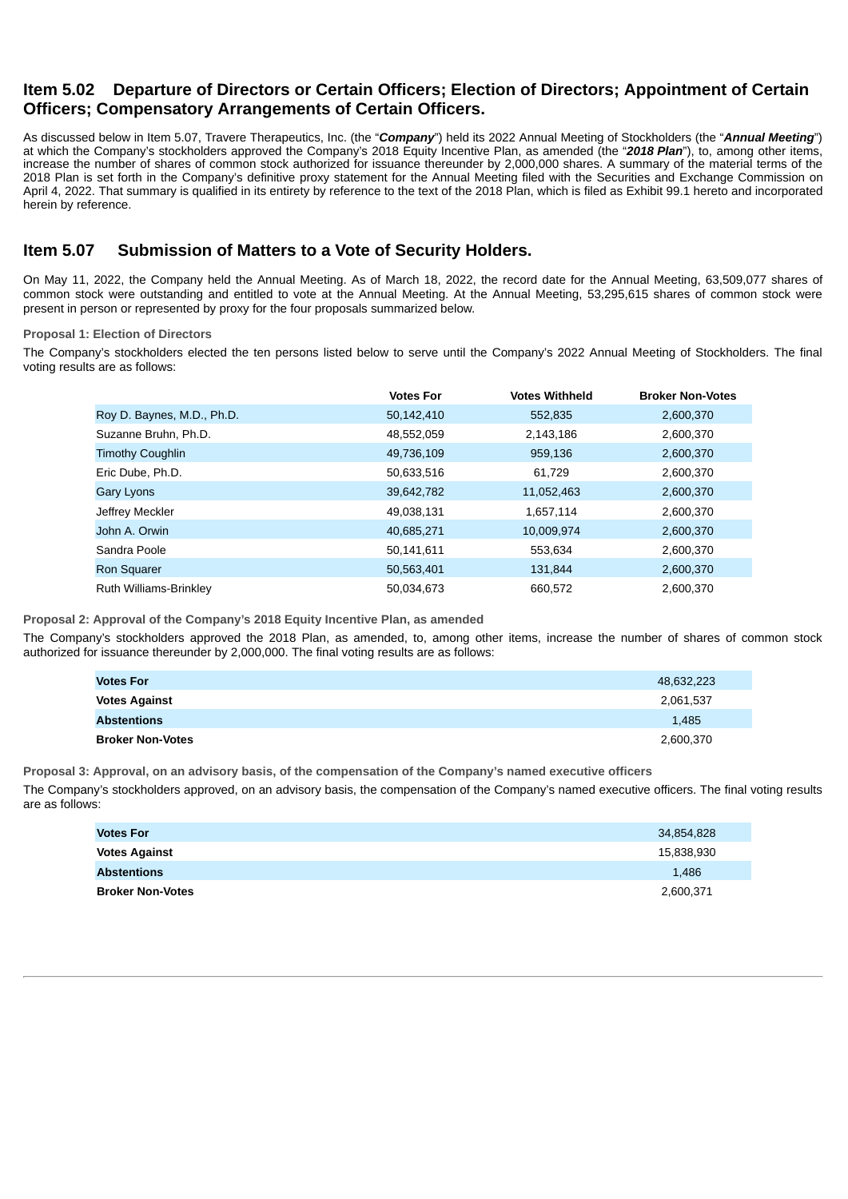# **Item 5.02 Departure of Directors or Certain Officers; Election of Directors; Appointment of Certain Officers; Compensatory Arrangements of Certain Officers.**

As discussed below in Item 5.07, Travere Therapeutics, Inc. (the "*Company*") held its 2022 Annual Meeting of Stockholders (the "*Annual Meeting*") at which the Company's stockholders approved the Company's 2018 Equity Incentive Plan, as amended (the "*2018 Plan*"), to, among other items, increase the number of shares of common stock authorized for issuance thereunder by 2,000,000 shares. A summary of the material terms of the 2018 Plan is set forth in the Company's definitive proxy statement for the Annual Meeting filed with the Securities and Exchange Commission on April 4, 2022. That summary is qualified in its entirety by reference to the text of the 2018 Plan, which is filed as Exhibit 99.1 hereto and incorporated herein by reference.

# **Item 5.07 Submission of Matters to a Vote of Security Holders.**

On May 11, 2022, the Company held the Annual Meeting. As of March 18, 2022, the record date for the Annual Meeting, 63,509,077 shares of common stock were outstanding and entitled to vote at the Annual Meeting. At the Annual Meeting, 53,295,615 shares of common stock were present in person or represented by proxy for the four proposals summarized below.

# **Proposal 1: Election of Directors**

The Company's stockholders elected the ten persons listed below to serve until the Company's 2022 Annual Meeting of Stockholders. The final voting results are as follows:

|                            | <b>Votes For</b> | <b>Votes Withheld</b> | <b>Broker Non-Votes</b> |
|----------------------------|------------------|-----------------------|-------------------------|
| Roy D. Baynes, M.D., Ph.D. | 50,142,410       | 552,835               | 2,600,370               |
| Suzanne Bruhn, Ph.D.       | 48,552,059       | 2,143,186             | 2,600,370               |
| <b>Timothy Coughlin</b>    | 49,736,109       | 959,136               | 2,600,370               |
| Eric Dube, Ph.D.           | 50,633,516       | 61.729                | 2,600,370               |
| <b>Gary Lyons</b>          | 39,642,782       | 11,052,463            | 2,600,370               |
| Jeffrey Meckler            | 49,038,131       | 1,657,114             | 2,600,370               |
| John A. Orwin              | 40,685,271       | 10,009,974            | 2,600,370               |
| Sandra Poole               | 50,141,611       | 553,634               | 2,600,370               |
| <b>Ron Squarer</b>         | 50,563,401       | 131,844               | 2,600,370               |
| Ruth Williams-Brinkley     | 50,034,673       | 660,572               | 2,600,370               |

**Proposal 2: Approval of the Company's 2018 Equity Incentive Plan, as amended**

The Company's stockholders approved the 2018 Plan, as amended, to, among other items, increase the number of shares of common stock authorized for issuance thereunder by 2,000,000. The final voting results are as follows:

| <b>Votes For</b>        | 48,632,223 |
|-------------------------|------------|
| <b>Votes Against</b>    | 2,061,537  |
| <b>Abstentions</b>      | 1.485      |
| <b>Broker Non-Votes</b> | 2,600,370  |

**Proposal 3: Approval, on an advisory basis, of the compensation of the Company's named executive officers**

The Company's stockholders approved, on an advisory basis, the compensation of the Company's named executive officers. The final voting results are as follows:

| <b>Votes For</b>        | 34,854,828 |
|-------------------------|------------|
| <b>Votes Against</b>    | 15,838,930 |
| <b>Abstentions</b>      | 1,486      |
| <b>Broker Non-Votes</b> | 2,600,371  |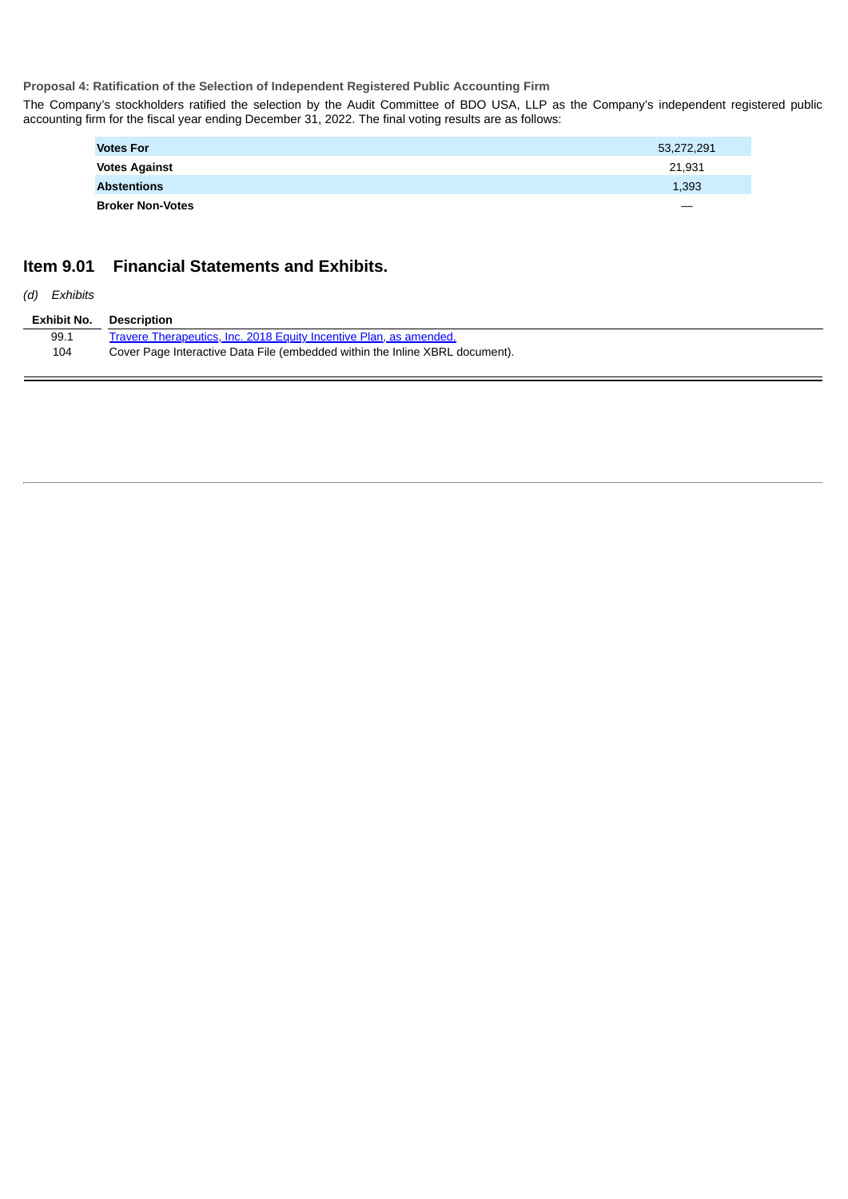**Proposal 4: Ratification of the Selection of Independent Registered Public Accounting Firm**

The Company's stockholders ratified the selection by the Audit Committee of BDO USA, LLP as the Company's independent registered public accounting firm for the fiscal year ending December 31, 2022. The final voting results are as follows:

| <b>Votes For</b>        | 53,272,291        |
|-------------------------|-------------------|
| <b>Votes Against</b>    | 21.931            |
| <b>Abstentions</b>      | 1,393             |
| <b>Broker Non-Votes</b> | $\hspace{0.05cm}$ |

# **Item 9.01 Financial Statements and Exhibits.**

*(d) Exhibits*

| Exhibit No. | Description                                                                  |
|-------------|------------------------------------------------------------------------------|
| 99.1        | Travere Therapeutics, Inc. 2018 Equity Incentive Plan, as amended.           |
| 104         | Cover Page Interactive Data File (embedded within the Inline XBRL document). |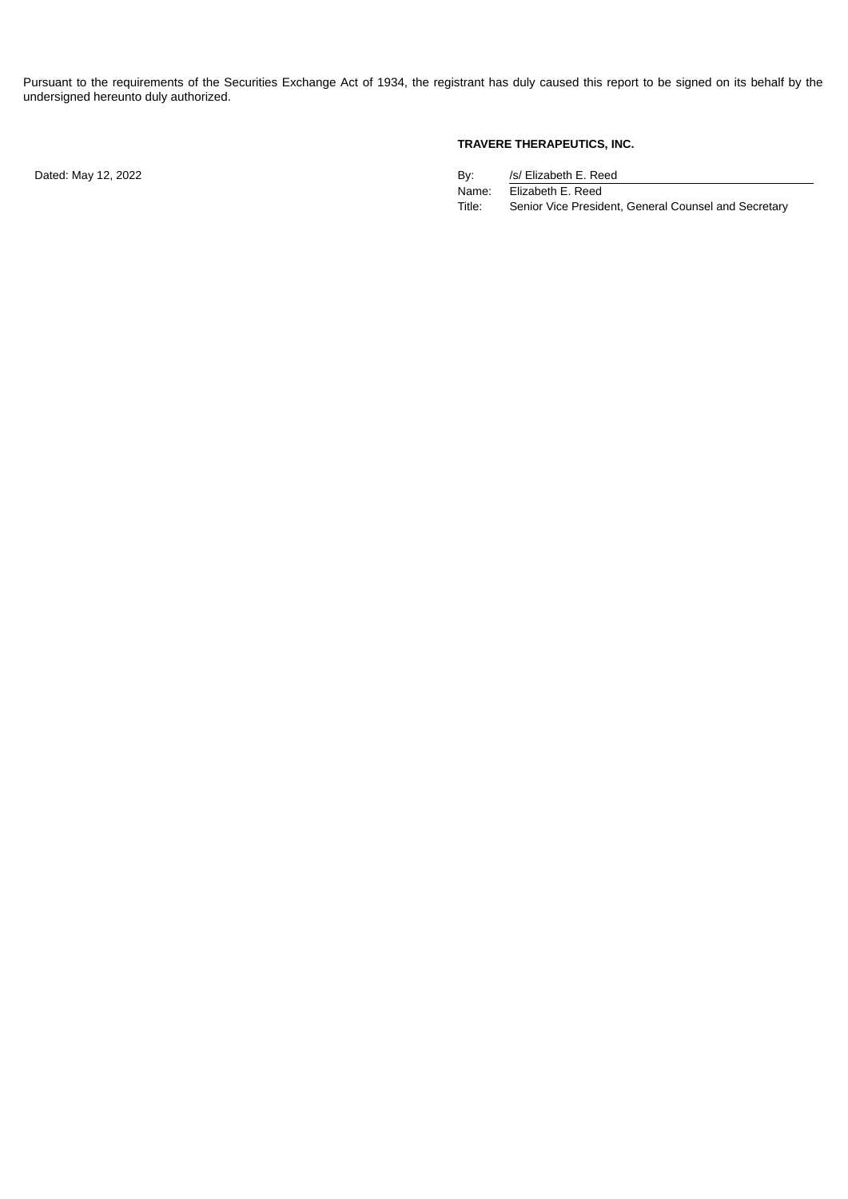Pursuant to the requirements of the Securities Exchange Act of 1934, the registrant has duly caused this report to be signed on its behalf by the undersigned hereunto duly authorized.

Dated: May 12, 2022

# **TRAVERE THERAPEUTICS, INC.**

| By:    | /s/ Elizabeth E. Reed                                |
|--------|------------------------------------------------------|
| Name:  | Elizabeth E. Reed                                    |
| Title: | Senior Vice President, General Counsel and Secretary |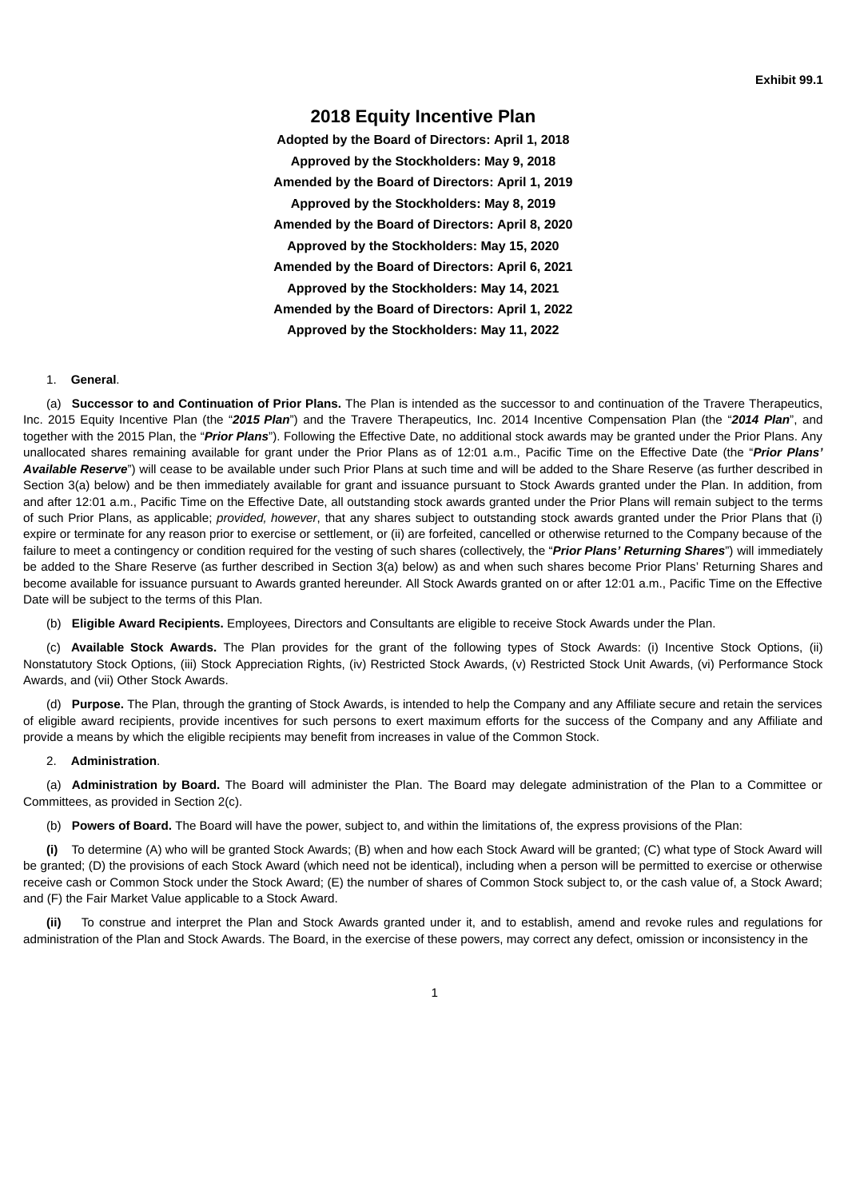# **2018 Equity Incentive Plan**

<span id="page-4-0"></span>**Adopted by the Board of Directors: April 1, 2018 Approved by the Stockholders: May 9, 2018 Amended by the Board of Directors: April 1, 2019 Approved by the Stockholders: May 8, 2019 Amended by the Board of Directors: April 8, 2020 Approved by the Stockholders: May 15, 2020 Amended by the Board of Directors: April 6, 2021 Approved by the Stockholders: May 14, 2021 Amended by the Board of Directors: April 1, 2022 Approved by the Stockholders: May 11, 2022**

### 1. **General**.

(a) **Successor to and Continuation of Prior Plans.** The Plan is intended as the successor to and continuation of the Travere Therapeutics, Inc. 2015 Equity Incentive Plan (the "*2015 Plan*") and the Travere Therapeutics, Inc. 2014 Incentive Compensation Plan (the "*2014 Plan*", and together with the 2015 Plan, the "*Prior Plans*"). Following the Effective Date, no additional stock awards may be granted under the Prior Plans. Any unallocated shares remaining available for grant under the Prior Plans as of 12:01 a.m., Pacific Time on the Effective Date (the "*Prior Plans' Available Reserve*") will cease to be available under such Prior Plans at such time and will be added to the Share Reserve (as further described in Section 3(a) below) and be then immediately available for grant and issuance pursuant to Stock Awards granted under the Plan. In addition, from and after 12:01 a.m., Pacific Time on the Effective Date, all outstanding stock awards granted under the Prior Plans will remain subject to the terms of such Prior Plans, as applicable; *provided, however*, that any shares subject to outstanding stock awards granted under the Prior Plans that (i) expire or terminate for any reason prior to exercise or settlement, or (ii) are forfeited, cancelled or otherwise returned to the Company because of the failure to meet a contingency or condition required for the vesting of such shares (collectively, the "*Prior Plans' Returning Shares*") will immediately be added to the Share Reserve (as further described in Section 3(a) below) as and when such shares become Prior Plans' Returning Shares and become available for issuance pursuant to Awards granted hereunder. All Stock Awards granted on or after 12:01 a.m., Pacific Time on the Effective Date will be subject to the terms of this Plan.

(b) **Eligible Award Recipients.** Employees, Directors and Consultants are eligible to receive Stock Awards under the Plan.

(c) **Available Stock Awards.** The Plan provides for the grant of the following types of Stock Awards: (i) Incentive Stock Options, (ii) Nonstatutory Stock Options, (iii) Stock Appreciation Rights, (iv) Restricted Stock Awards, (v) Restricted Stock Unit Awards, (vi) Performance Stock Awards, and (vii) Other Stock Awards.

(d) **Purpose.** The Plan, through the granting of Stock Awards, is intended to help the Company and any Affiliate secure and retain the services of eligible award recipients, provide incentives for such persons to exert maximum efforts for the success of the Company and any Affiliate and provide a means by which the eligible recipients may benefit from increases in value of the Common Stock.

#### 2. **Administration**.

(a) **Administration by Board.** The Board will administer the Plan. The Board may delegate administration of the Plan to a Committee or Committees, as provided in Section 2(c).

(b) **Powers of Board.** The Board will have the power, subject to, and within the limitations of, the express provisions of the Plan:

**(i)** To determine (A) who will be granted Stock Awards; (B) when and how each Stock Award will be granted; (C) what type of Stock Award will be granted; (D) the provisions of each Stock Award (which need not be identical), including when a person will be permitted to exercise or otherwise receive cash or Common Stock under the Stock Award; (E) the number of shares of Common Stock subject to, or the cash value of, a Stock Award; and (F) the Fair Market Value applicable to a Stock Award.

**(ii)** To construe and interpret the Plan and Stock Awards granted under it, and to establish, amend and revoke rules and regulations for administration of the Plan and Stock Awards. The Board, in the exercise of these powers, may correct any defect, omission or inconsistency in the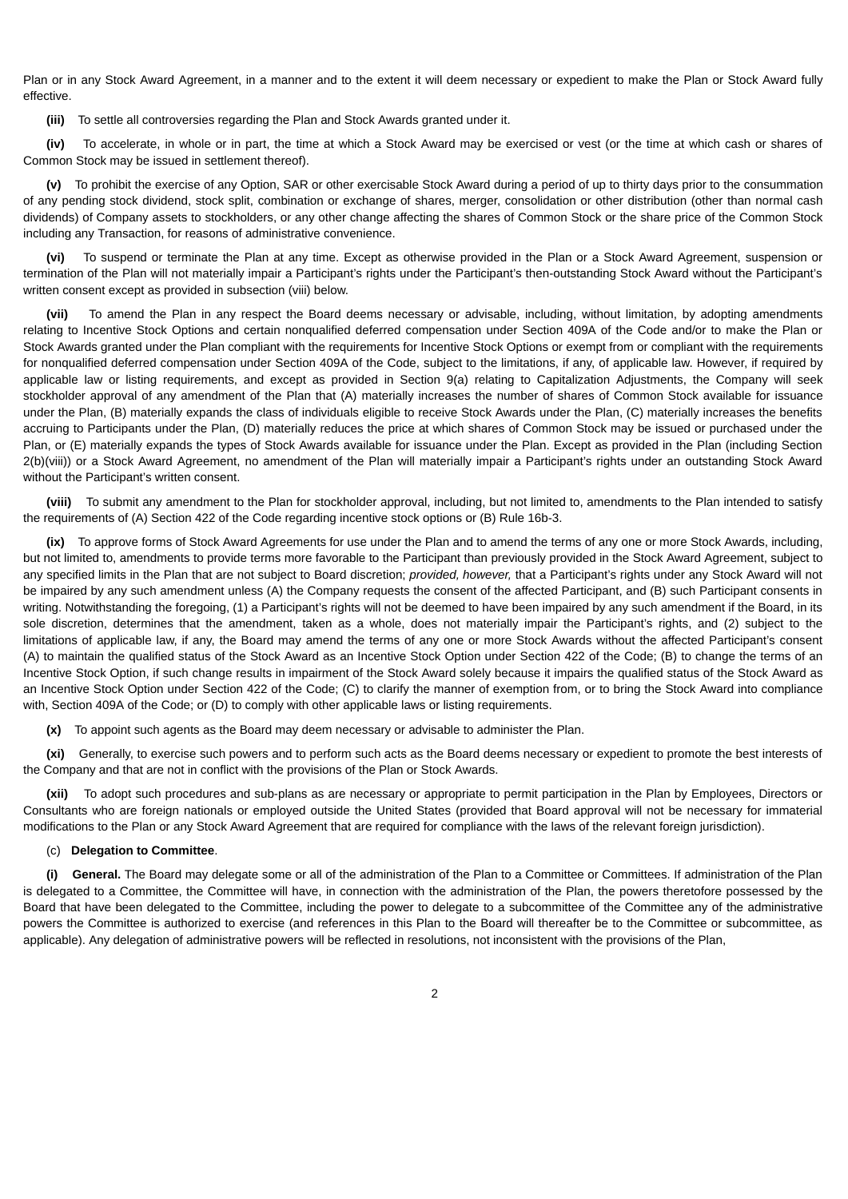Plan or in any Stock Award Agreement, in a manner and to the extent it will deem necessary or expedient to make the Plan or Stock Award fully effective.

**(iii)** To settle all controversies regarding the Plan and Stock Awards granted under it.

**(iv)** To accelerate, in whole or in part, the time at which a Stock Award may be exercised or vest (or the time at which cash or shares of Common Stock may be issued in settlement thereof).

**(v)** To prohibit the exercise of any Option, SAR or other exercisable Stock Award during a period of up to thirty days prior to the consummation of any pending stock dividend, stock split, combination or exchange of shares, merger, consolidation or other distribution (other than normal cash dividends) of Company assets to stockholders, or any other change affecting the shares of Common Stock or the share price of the Common Stock including any Transaction, for reasons of administrative convenience.

**(vi)** To suspend or terminate the Plan at any time. Except as otherwise provided in the Plan or a Stock Award Agreement, suspension or termination of the Plan will not materially impair a Participant's rights under the Participant's then-outstanding Stock Award without the Participant's written consent except as provided in subsection (viii) below.

**(vii)** To amend the Plan in any respect the Board deems necessary or advisable, including, without limitation, by adopting amendments relating to Incentive Stock Options and certain nonqualified deferred compensation under Section 409A of the Code and/or to make the Plan or Stock Awards granted under the Plan compliant with the requirements for Incentive Stock Options or exempt from or compliant with the requirements for nonqualified deferred compensation under Section 409A of the Code, subject to the limitations, if any, of applicable law. However, if required by applicable law or listing requirements, and except as provided in Section 9(a) relating to Capitalization Adjustments, the Company will seek stockholder approval of any amendment of the Plan that (A) materially increases the number of shares of Common Stock available for issuance under the Plan, (B) materially expands the class of individuals eligible to receive Stock Awards under the Plan, (C) materially increases the benefits accruing to Participants under the Plan, (D) materially reduces the price at which shares of Common Stock may be issued or purchased under the Plan, or (E) materially expands the types of Stock Awards available for issuance under the Plan. Except as provided in the Plan (including Section 2(b)(viii)) or a Stock Award Agreement, no amendment of the Plan will materially impair a Participant's rights under an outstanding Stock Award without the Participant's written consent.

**(viii)** To submit any amendment to the Plan for stockholder approval, including, but not limited to, amendments to the Plan intended to satisfy the requirements of (A) Section 422 of the Code regarding incentive stock options or (B) Rule 16b-3.

**(ix)** To approve forms of Stock Award Agreements for use under the Plan and to amend the terms of any one or more Stock Awards, including, but not limited to, amendments to provide terms more favorable to the Participant than previously provided in the Stock Award Agreement, subject to any specified limits in the Plan that are not subject to Board discretion; *provided, however,* that a Participant's rights under any Stock Award will not be impaired by any such amendment unless (A) the Company requests the consent of the affected Participant, and (B) such Participant consents in writing. Notwithstanding the foregoing, (1) a Participant's rights will not be deemed to have been impaired by any such amendment if the Board, in its sole discretion, determines that the amendment, taken as a whole, does not materially impair the Participant's rights, and (2) subject to the limitations of applicable law, if any, the Board may amend the terms of any one or more Stock Awards without the affected Participant's consent (A) to maintain the qualified status of the Stock Award as an Incentive Stock Option under Section 422 of the Code; (B) to change the terms of an Incentive Stock Option, if such change results in impairment of the Stock Award solely because it impairs the qualified status of the Stock Award as an Incentive Stock Option under Section 422 of the Code; (C) to clarify the manner of exemption from, or to bring the Stock Award into compliance with, Section 409A of the Code; or (D) to comply with other applicable laws or listing requirements.

**(x)** To appoint such agents as the Board may deem necessary or advisable to administer the Plan.

**(xi)** Generally, to exercise such powers and to perform such acts as the Board deems necessary or expedient to promote the best interests of the Company and that are not in conflict with the provisions of the Plan or Stock Awards.

**(xii)** To adopt such procedures and sub-plans as are necessary or appropriate to permit participation in the Plan by Employees, Directors or Consultants who are foreign nationals or employed outside the United States (provided that Board approval will not be necessary for immaterial modifications to the Plan or any Stock Award Agreement that are required for compliance with the laws of the relevant foreign jurisdiction).

# (c) **Delegation to Committee**.

**(i) General.** The Board may delegate some or all of the administration of the Plan to a Committee or Committees. If administration of the Plan is delegated to a Committee, the Committee will have, in connection with the administration of the Plan, the powers theretofore possessed by the Board that have been delegated to the Committee, including the power to delegate to a subcommittee of the Committee any of the administrative powers the Committee is authorized to exercise (and references in this Plan to the Board will thereafter be to the Committee or subcommittee, as applicable). Any delegation of administrative powers will be reflected in resolutions, not inconsistent with the provisions of the Plan,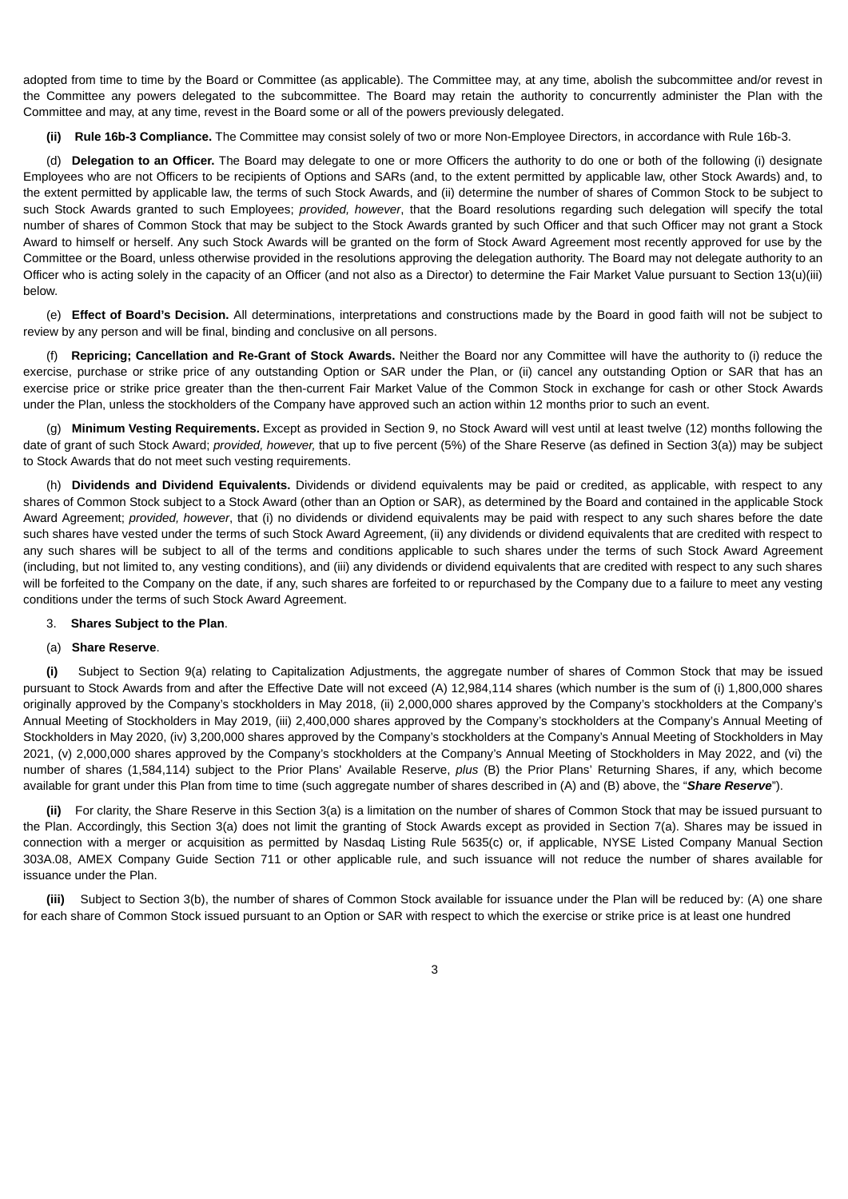adopted from time to time by the Board or Committee (as applicable). The Committee may, at any time, abolish the subcommittee and/or revest in the Committee any powers delegated to the subcommittee. The Board may retain the authority to concurrently administer the Plan with the Committee and may, at any time, revest in the Board some or all of the powers previously delegated.

**(ii) Rule 16b-3 Compliance.** The Committee may consist solely of two or more Non-Employee Directors, in accordance with Rule 16b-3.

(d) **Delegation to an Officer.** The Board may delegate to one or more Officers the authority to do one or both of the following (i) designate Employees who are not Officers to be recipients of Options and SARs (and, to the extent permitted by applicable law, other Stock Awards) and, to the extent permitted by applicable law, the terms of such Stock Awards, and (ii) determine the number of shares of Common Stock to be subject to such Stock Awards granted to such Employees; *provided, however*, that the Board resolutions regarding such delegation will specify the total number of shares of Common Stock that may be subject to the Stock Awards granted by such Officer and that such Officer may not grant a Stock Award to himself or herself. Any such Stock Awards will be granted on the form of Stock Award Agreement most recently approved for use by the Committee or the Board, unless otherwise provided in the resolutions approving the delegation authority. The Board may not delegate authority to an Officer who is acting solely in the capacity of an Officer (and not also as a Director) to determine the Fair Market Value pursuant to Section 13(u)(iii) below.

(e) **Effect of Board's Decision.** All determinations, interpretations and constructions made by the Board in good faith will not be subject to review by any person and will be final, binding and conclusive on all persons.

(f) **Repricing; Cancellation and Re-Grant of Stock Awards.** Neither the Board nor any Committee will have the authority to (i) reduce the exercise, purchase or strike price of any outstanding Option or SAR under the Plan, or (ii) cancel any outstanding Option or SAR that has an exercise price or strike price greater than the then-current Fair Market Value of the Common Stock in exchange for cash or other Stock Awards under the Plan, unless the stockholders of the Company have approved such an action within 12 months prior to such an event.

(g) **Minimum Vesting Requirements.** Except as provided in Section 9, no Stock Award will vest until at least twelve (12) months following the date of grant of such Stock Award; *provided, however,* that up to five percent (5%) of the Share Reserve (as defined in Section 3(a)) may be subject to Stock Awards that do not meet such vesting requirements.

(h) **Dividends and Dividend Equivalents.** Dividends or dividend equivalents may be paid or credited, as applicable, with respect to any shares of Common Stock subject to a Stock Award (other than an Option or SAR), as determined by the Board and contained in the applicable Stock Award Agreement; *provided, however*, that (i) no dividends or dividend equivalents may be paid with respect to any such shares before the date such shares have vested under the terms of such Stock Award Agreement, (ii) any dividends or dividend equivalents that are credited with respect to any such shares will be subject to all of the terms and conditions applicable to such shares under the terms of such Stock Award Agreement (including, but not limited to, any vesting conditions), and (iii) any dividends or dividend equivalents that are credited with respect to any such shares will be forfeited to the Company on the date, if any, such shares are forfeited to or repurchased by the Company due to a failure to meet any vesting conditions under the terms of such Stock Award Agreement.

#### 3. **Shares Subject to the Plan**.

# (a) **Share Reserve**.

**(i)** Subject to Section 9(a) relating to Capitalization Adjustments, the aggregate number of shares of Common Stock that may be issued pursuant to Stock Awards from and after the Effective Date will not exceed (A) 12,984,114 shares (which number is the sum of (i) 1,800,000 shares originally approved by the Company's stockholders in May 2018, (ii) 2,000,000 shares approved by the Company's stockholders at the Company's Annual Meeting of Stockholders in May 2019, (iii) 2,400,000 shares approved by the Company's stockholders at the Company's Annual Meeting of Stockholders in May 2020, (iv) 3,200,000 shares approved by the Company's stockholders at the Company's Annual Meeting of Stockholders in May 2021, (v) 2,000,000 shares approved by the Company's stockholders at the Company's Annual Meeting of Stockholders in May 2022, and (vi) the number of shares (1,584,114) subject to the Prior Plans' Available Reserve, *plus* (B) the Prior Plans' Returning Shares, if any, which become available for grant under this Plan from time to time (such aggregate number of shares described in (A) and (B) above, the "*Share Reserve*").

**(ii)** For clarity, the Share Reserve in this Section 3(a) is a limitation on the number of shares of Common Stock that may be issued pursuant to the Plan. Accordingly, this Section 3(a) does not limit the granting of Stock Awards except as provided in Section 7(a). Shares may be issued in connection with a merger or acquisition as permitted by Nasdaq Listing Rule 5635(c) or, if applicable, NYSE Listed Company Manual Section 303A.08, AMEX Company Guide Section 711 or other applicable rule, and such issuance will not reduce the number of shares available for issuance under the Plan.

**(iii)** Subject to Section 3(b), the number of shares of Common Stock available for issuance under the Plan will be reduced by: (A) one share for each share of Common Stock issued pursuant to an Option or SAR with respect to which the exercise or strike price is at least one hundred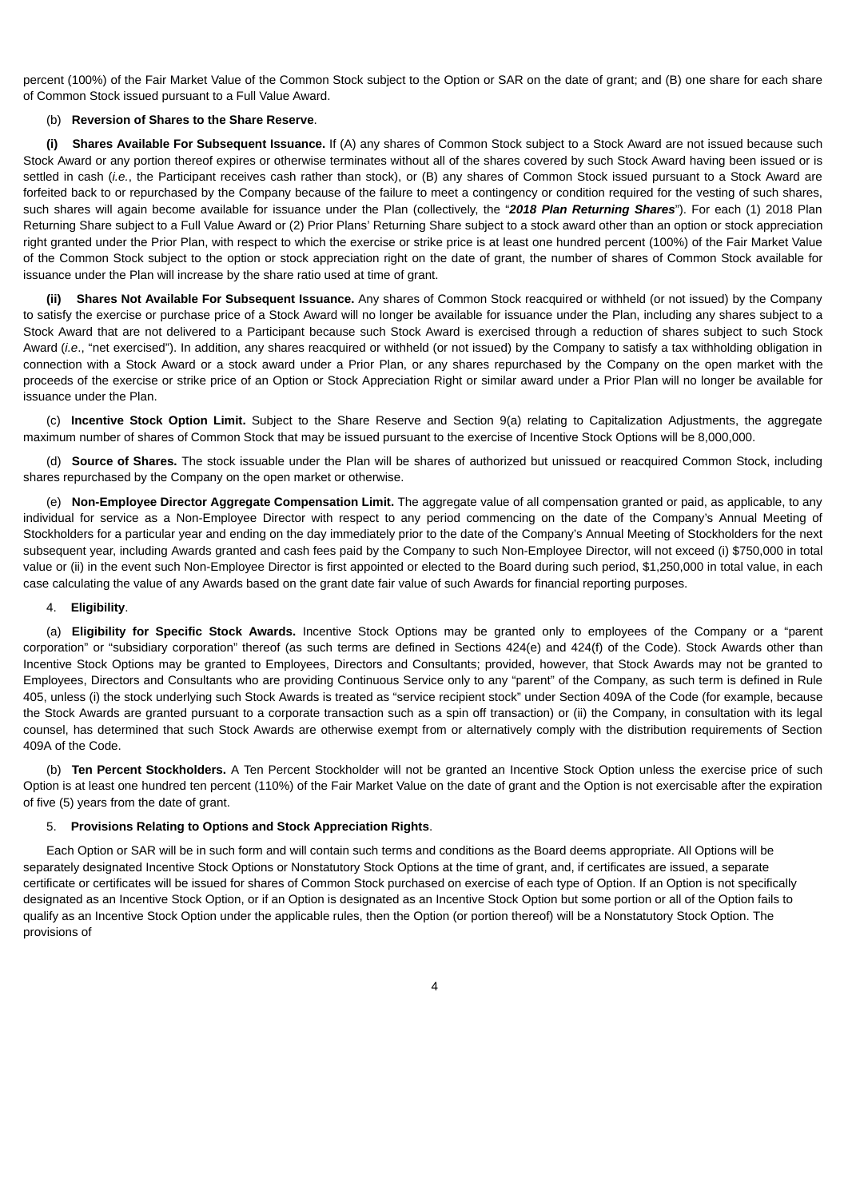percent (100%) of the Fair Market Value of the Common Stock subject to the Option or SAR on the date of grant; and (B) one share for each share of Common Stock issued pursuant to a Full Value Award.

### (b) **Reversion of Shares to the Share Reserve**.

**(i) Shares Available For Subsequent Issuance.** If (A) any shares of Common Stock subject to a Stock Award are not issued because such Stock Award or any portion thereof expires or otherwise terminates without all of the shares covered by such Stock Award having been issued or is settled in cash (*i.e.*, the Participant receives cash rather than stock), or (B) any shares of Common Stock issued pursuant to a Stock Award are forfeited back to or repurchased by the Company because of the failure to meet a contingency or condition required for the vesting of such shares, such shares will again become available for issuance under the Plan (collectively, the "*2018 Plan Returning Shares*"). For each (1) 2018 Plan Returning Share subject to a Full Value Award or (2) Prior Plans' Returning Share subject to a stock award other than an option or stock appreciation right granted under the Prior Plan, with respect to which the exercise or strike price is at least one hundred percent (100%) of the Fair Market Value of the Common Stock subject to the option or stock appreciation right on the date of grant, the number of shares of Common Stock available for issuance under the Plan will increase by the share ratio used at time of grant.

**(ii) Shares Not Available For Subsequent Issuance.** Any shares of Common Stock reacquired or withheld (or not issued) by the Company to satisfy the exercise or purchase price of a Stock Award will no longer be available for issuance under the Plan, including any shares subject to a Stock Award that are not delivered to a Participant because such Stock Award is exercised through a reduction of shares subject to such Stock Award (*i.e*., "net exercised"). In addition, any shares reacquired or withheld (or not issued) by the Company to satisfy a tax withholding obligation in connection with a Stock Award or a stock award under a Prior Plan, or any shares repurchased by the Company on the open market with the proceeds of the exercise or strike price of an Option or Stock Appreciation Right or similar award under a Prior Plan will no longer be available for issuance under the Plan.

(c) **Incentive Stock Option Limit.** Subject to the Share Reserve and Section 9(a) relating to Capitalization Adjustments, the aggregate maximum number of shares of Common Stock that may be issued pursuant to the exercise of Incentive Stock Options will be 8,000,000.

(d) **Source of Shares.** The stock issuable under the Plan will be shares of authorized but unissued or reacquired Common Stock, including shares repurchased by the Company on the open market or otherwise.

(e) **Non-Employee Director Aggregate Compensation Limit.** The aggregate value of all compensation granted or paid, as applicable, to any individual for service as a Non-Employee Director with respect to any period commencing on the date of the Company's Annual Meeting of Stockholders for a particular year and ending on the day immediately prior to the date of the Company's Annual Meeting of Stockholders for the next subsequent year, including Awards granted and cash fees paid by the Company to such Non-Employee Director, will not exceed (i) \$750,000 in total value or (ii) in the event such Non-Employee Director is first appointed or elected to the Board during such period, \$1,250,000 in total value, in each case calculating the value of any Awards based on the grant date fair value of such Awards for financial reporting purposes.

### 4. **Eligibility**.

(a) **Eligibility for Specific Stock Awards.** Incentive Stock Options may be granted only to employees of the Company or a "parent corporation" or "subsidiary corporation" thereof (as such terms are defined in Sections 424(e) and 424(f) of the Code). Stock Awards other than Incentive Stock Options may be granted to Employees, Directors and Consultants; provided, however, that Stock Awards may not be granted to Employees, Directors and Consultants who are providing Continuous Service only to any "parent" of the Company, as such term is defined in Rule 405, unless (i) the stock underlying such Stock Awards is treated as "service recipient stock" under Section 409A of the Code (for example, because the Stock Awards are granted pursuant to a corporate transaction such as a spin off transaction) or (ii) the Company, in consultation with its legal counsel, has determined that such Stock Awards are otherwise exempt from or alternatively comply with the distribution requirements of Section 409A of the Code.

(b) **Ten Percent Stockholders.** A Ten Percent Stockholder will not be granted an Incentive Stock Option unless the exercise price of such Option is at least one hundred ten percent (110%) of the Fair Market Value on the date of grant and the Option is not exercisable after the expiration of five (5) years from the date of grant.

### 5. **Provisions Relating to Options and Stock Appreciation Rights**.

Each Option or SAR will be in such form and will contain such terms and conditions as the Board deems appropriate. All Options will be separately designated Incentive Stock Options or Nonstatutory Stock Options at the time of grant, and, if certificates are issued, a separate certificate or certificates will be issued for shares of Common Stock purchased on exercise of each type of Option. If an Option is not specifically designated as an Incentive Stock Option, or if an Option is designated as an Incentive Stock Option but some portion or all of the Option fails to qualify as an Incentive Stock Option under the applicable rules, then the Option (or portion thereof) will be a Nonstatutory Stock Option. The provisions of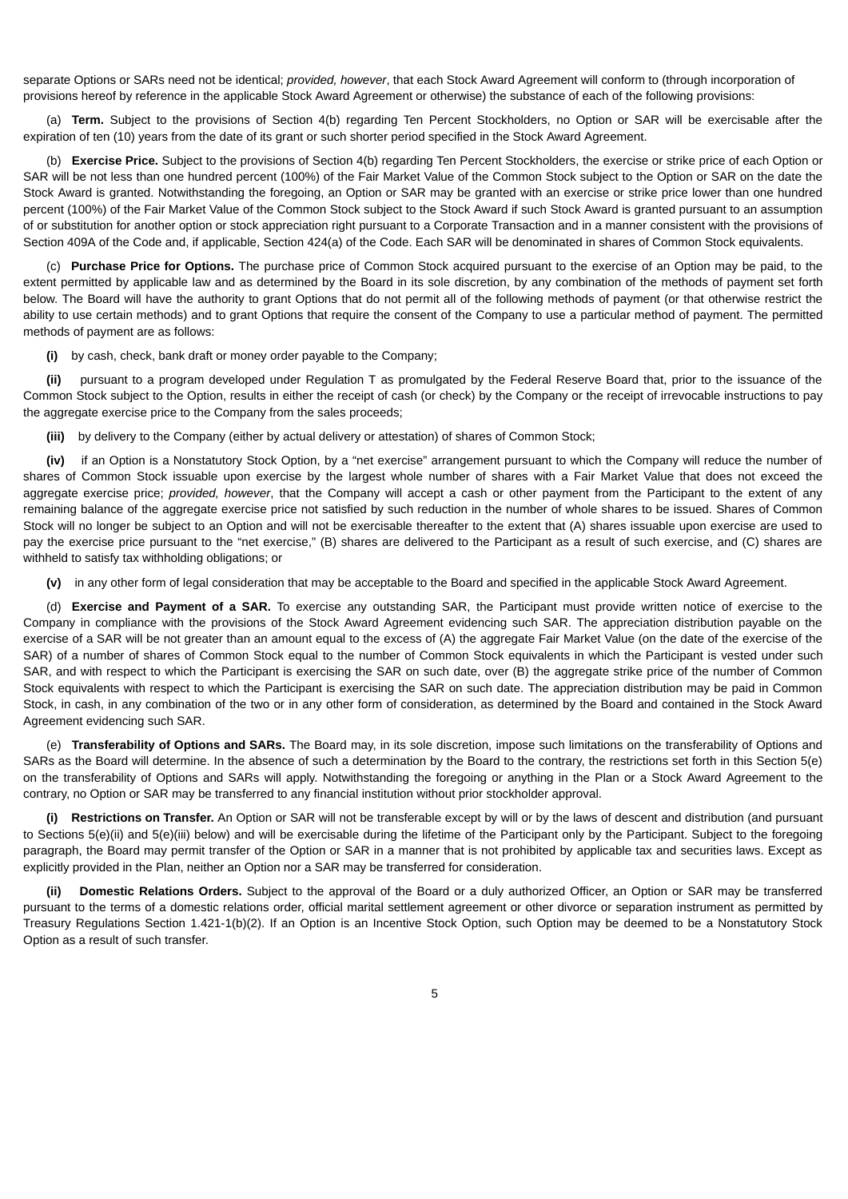separate Options or SARs need not be identical; *provided, however*, that each Stock Award Agreement will conform to (through incorporation of provisions hereof by reference in the applicable Stock Award Agreement or otherwise) the substance of each of the following provisions:

(a) **Term.** Subject to the provisions of Section 4(b) regarding Ten Percent Stockholders, no Option or SAR will be exercisable after the expiration of ten (10) years from the date of its grant or such shorter period specified in the Stock Award Agreement.

(b) **Exercise Price.** Subject to the provisions of Section 4(b) regarding Ten Percent Stockholders, the exercise or strike price of each Option or SAR will be not less than one hundred percent (100%) of the Fair Market Value of the Common Stock subject to the Option or SAR on the date the Stock Award is granted. Notwithstanding the foregoing, an Option or SAR may be granted with an exercise or strike price lower than one hundred percent (100%) of the Fair Market Value of the Common Stock subject to the Stock Award if such Stock Award is granted pursuant to an assumption of or substitution for another option or stock appreciation right pursuant to a Corporate Transaction and in a manner consistent with the provisions of Section 409A of the Code and, if applicable, Section 424(a) of the Code. Each SAR will be denominated in shares of Common Stock equivalents.

(c) **Purchase Price for Options.** The purchase price of Common Stock acquired pursuant to the exercise of an Option may be paid, to the extent permitted by applicable law and as determined by the Board in its sole discretion, by any combination of the methods of payment set forth below. The Board will have the authority to grant Options that do not permit all of the following methods of payment (or that otherwise restrict the ability to use certain methods) and to grant Options that require the consent of the Company to use a particular method of payment. The permitted methods of payment are as follows:

**(i)** by cash, check, bank draft or money order payable to the Company;

**(ii)** pursuant to a program developed under Regulation T as promulgated by the Federal Reserve Board that, prior to the issuance of the Common Stock subject to the Option, results in either the receipt of cash (or check) by the Company or the receipt of irrevocable instructions to pay the aggregate exercise price to the Company from the sales proceeds;

**(iii)** by delivery to the Company (either by actual delivery or attestation) of shares of Common Stock;

**(iv)** if an Option is a Nonstatutory Stock Option, by a "net exercise" arrangement pursuant to which the Company will reduce the number of shares of Common Stock issuable upon exercise by the largest whole number of shares with a Fair Market Value that does not exceed the aggregate exercise price; *provided, however*, that the Company will accept a cash or other payment from the Participant to the extent of any remaining balance of the aggregate exercise price not satisfied by such reduction in the number of whole shares to be issued. Shares of Common Stock will no longer be subject to an Option and will not be exercisable thereafter to the extent that (A) shares issuable upon exercise are used to pay the exercise price pursuant to the "net exercise," (B) shares are delivered to the Participant as a result of such exercise, and (C) shares are withheld to satisfy tax withholding obligations; or

**(v)** in any other form of legal consideration that may be acceptable to the Board and specified in the applicable Stock Award Agreement.

(d) **Exercise and Payment of a SAR.** To exercise any outstanding SAR, the Participant must provide written notice of exercise to the Company in compliance with the provisions of the Stock Award Agreement evidencing such SAR. The appreciation distribution payable on the exercise of a SAR will be not greater than an amount equal to the excess of (A) the aggregate Fair Market Value (on the date of the exercise of the SAR) of a number of shares of Common Stock equal to the number of Common Stock equivalents in which the Participant is vested under such SAR, and with respect to which the Participant is exercising the SAR on such date, over (B) the aggregate strike price of the number of Common Stock equivalents with respect to which the Participant is exercising the SAR on such date. The appreciation distribution may be paid in Common Stock, in cash, in any combination of the two or in any other form of consideration, as determined by the Board and contained in the Stock Award Agreement evidencing such SAR.

(e) **Transferability of Options and SARs.** The Board may, in its sole discretion, impose such limitations on the transferability of Options and SARs as the Board will determine. In the absence of such a determination by the Board to the contrary, the restrictions set forth in this Section 5(e) on the transferability of Options and SARs will apply. Notwithstanding the foregoing or anything in the Plan or a Stock Award Agreement to the contrary, no Option or SAR may be transferred to any financial institution without prior stockholder approval.

**(i) Restrictions on Transfer.** An Option or SAR will not be transferable except by will or by the laws of descent and distribution (and pursuant to Sections 5(e)(ii) and 5(e)(iii) below) and will be exercisable during the lifetime of the Participant only by the Participant. Subject to the foregoing paragraph, the Board may permit transfer of the Option or SAR in a manner that is not prohibited by applicable tax and securities laws. Except as explicitly provided in the Plan, neither an Option nor a SAR may be transferred for consideration.

**(ii) Domestic Relations Orders.** Subject to the approval of the Board or a duly authorized Officer, an Option or SAR may be transferred pursuant to the terms of a domestic relations order, official marital settlement agreement or other divorce or separation instrument as permitted by Treasury Regulations Section 1.421-1(b)(2). If an Option is an Incentive Stock Option, such Option may be deemed to be a Nonstatutory Stock Option as a result of such transfer.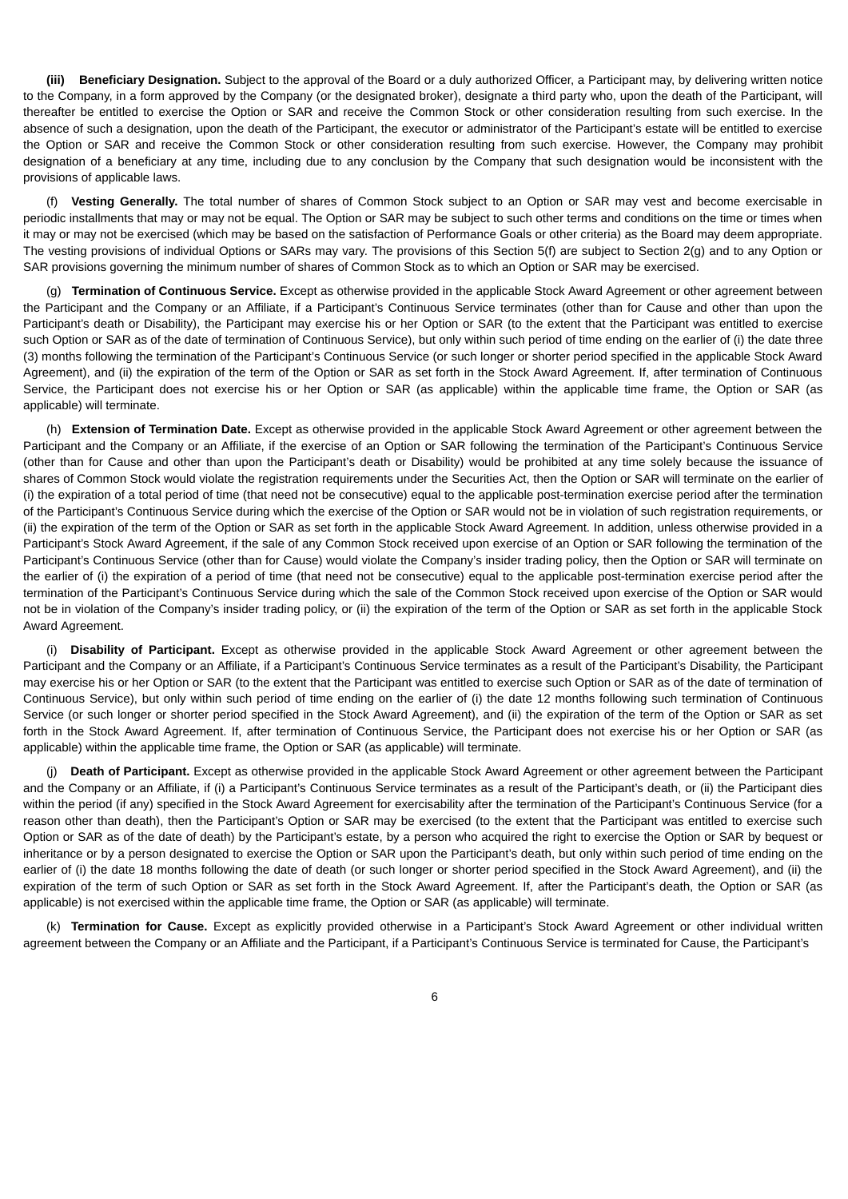**(iii) Beneficiary Designation.** Subject to the approval of the Board or a duly authorized Officer, a Participant may, by delivering written notice to the Company, in a form approved by the Company (or the designated broker), designate a third party who, upon the death of the Participant, will thereafter be entitled to exercise the Option or SAR and receive the Common Stock or other consideration resulting from such exercise. In the absence of such a designation, upon the death of the Participant, the executor or administrator of the Participant's estate will be entitled to exercise the Option or SAR and receive the Common Stock or other consideration resulting from such exercise. However, the Company may prohibit designation of a beneficiary at any time, including due to any conclusion by the Company that such designation would be inconsistent with the provisions of applicable laws.

(f) **Vesting Generally.** The total number of shares of Common Stock subject to an Option or SAR may vest and become exercisable in periodic installments that may or may not be equal. The Option or SAR may be subject to such other terms and conditions on the time or times when it may or may not be exercised (which may be based on the satisfaction of Performance Goals or other criteria) as the Board may deem appropriate. The vesting provisions of individual Options or SARs may vary. The provisions of this Section 5(f) are subject to Section 2(g) and to any Option or SAR provisions governing the minimum number of shares of Common Stock as to which an Option or SAR may be exercised.

(g) **Termination of Continuous Service.** Except as otherwise provided in the applicable Stock Award Agreement or other agreement between the Participant and the Company or an Affiliate, if a Participant's Continuous Service terminates (other than for Cause and other than upon the Participant's death or Disability), the Participant may exercise his or her Option or SAR (to the extent that the Participant was entitled to exercise such Option or SAR as of the date of termination of Continuous Service), but only within such period of time ending on the earlier of (i) the date three (3) months following the termination of the Participant's Continuous Service (or such longer or shorter period specified in the applicable Stock Award Agreement), and (ii) the expiration of the term of the Option or SAR as set forth in the Stock Award Agreement. If, after termination of Continuous Service, the Participant does not exercise his or her Option or SAR (as applicable) within the applicable time frame, the Option or SAR (as applicable) will terminate.

(h) **Extension of Termination Date.** Except as otherwise provided in the applicable Stock Award Agreement or other agreement between the Participant and the Company or an Affiliate, if the exercise of an Option or SAR following the termination of the Participant's Continuous Service (other than for Cause and other than upon the Participant's death or Disability) would be prohibited at any time solely because the issuance of shares of Common Stock would violate the registration requirements under the Securities Act, then the Option or SAR will terminate on the earlier of (i) the expiration of a total period of time (that need not be consecutive) equal to the applicable post-termination exercise period after the termination of the Participant's Continuous Service during which the exercise of the Option or SAR would not be in violation of such registration requirements, or (ii) the expiration of the term of the Option or SAR as set forth in the applicable Stock Award Agreement. In addition, unless otherwise provided in a Participant's Stock Award Agreement, if the sale of any Common Stock received upon exercise of an Option or SAR following the termination of the Participant's Continuous Service (other than for Cause) would violate the Company's insider trading policy, then the Option or SAR will terminate on the earlier of (i) the expiration of a period of time (that need not be consecutive) equal to the applicable post-termination exercise period after the termination of the Participant's Continuous Service during which the sale of the Common Stock received upon exercise of the Option or SAR would not be in violation of the Company's insider trading policy, or (ii) the expiration of the term of the Option or SAR as set forth in the applicable Stock Award Agreement.

(i) **Disability of Participant.** Except as otherwise provided in the applicable Stock Award Agreement or other agreement between the Participant and the Company or an Affiliate, if a Participant's Continuous Service terminates as a result of the Participant's Disability, the Participant may exercise his or her Option or SAR (to the extent that the Participant was entitled to exercise such Option or SAR as of the date of termination of Continuous Service), but only within such period of time ending on the earlier of (i) the date 12 months following such termination of Continuous Service (or such longer or shorter period specified in the Stock Award Agreement), and (ii) the expiration of the term of the Option or SAR as set forth in the Stock Award Agreement. If, after termination of Continuous Service, the Participant does not exercise his or her Option or SAR (as applicable) within the applicable time frame, the Option or SAR (as applicable) will terminate.

(j) **Death of Participant.** Except as otherwise provided in the applicable Stock Award Agreement or other agreement between the Participant and the Company or an Affiliate, if (i) a Participant's Continuous Service terminates as a result of the Participant's death, or (ii) the Participant dies within the period (if any) specified in the Stock Award Agreement for exercisability after the termination of the Participant's Continuous Service (for a reason other than death), then the Participant's Option or SAR may be exercised (to the extent that the Participant was entitled to exercise such Option or SAR as of the date of death) by the Participant's estate, by a person who acquired the right to exercise the Option or SAR by bequest or inheritance or by a person designated to exercise the Option or SAR upon the Participant's death, but only within such period of time ending on the earlier of (i) the date 18 months following the date of death (or such longer or shorter period specified in the Stock Award Agreement), and (ii) the expiration of the term of such Option or SAR as set forth in the Stock Award Agreement. If, after the Participant's death, the Option or SAR (as applicable) is not exercised within the applicable time frame, the Option or SAR (as applicable) will terminate.

(k) **Termination for Cause.** Except as explicitly provided otherwise in a Participant's Stock Award Agreement or other individual written agreement between the Company or an Affiliate and the Participant, if a Participant's Continuous Service is terminated for Cause, the Participant's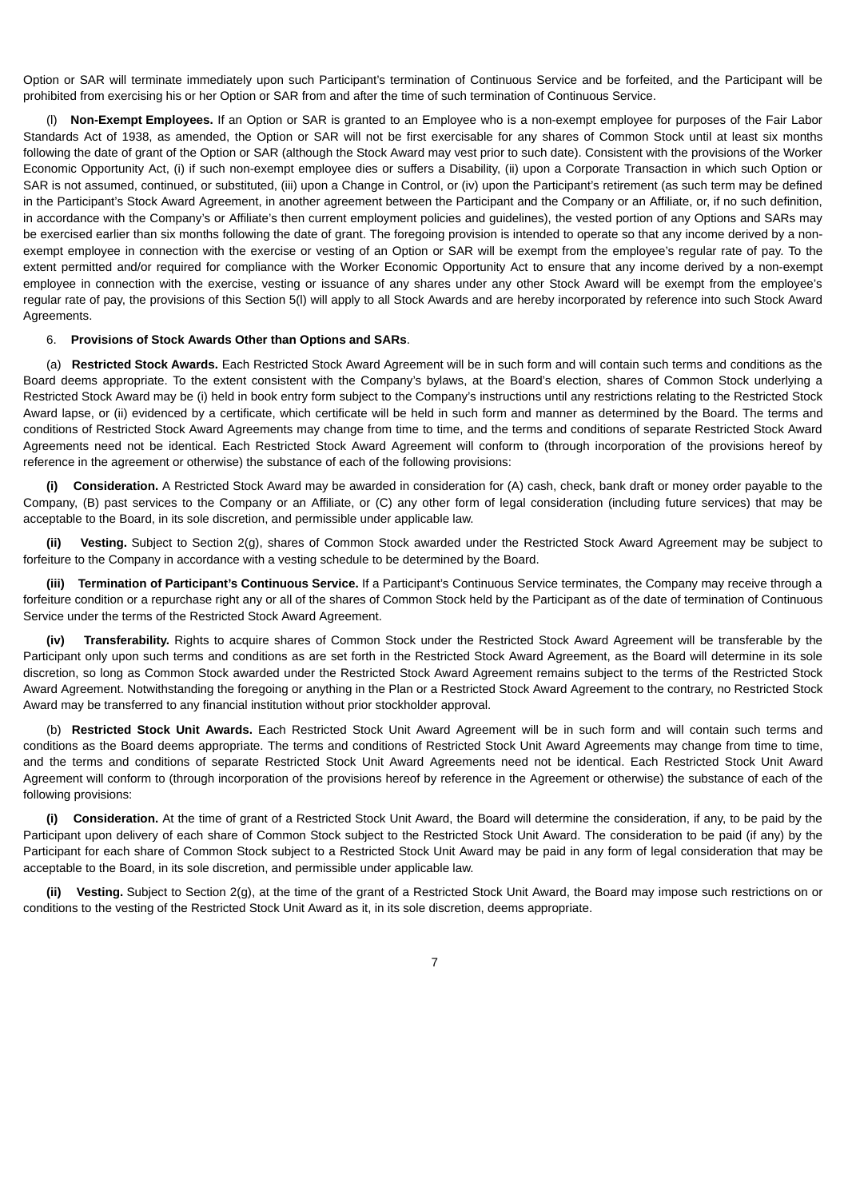Option or SAR will terminate immediately upon such Participant's termination of Continuous Service and be forfeited, and the Participant will be prohibited from exercising his or her Option or SAR from and after the time of such termination of Continuous Service.

(l) **Non-Exempt Employees.** If an Option or SAR is granted to an Employee who is a non-exempt employee for purposes of the Fair Labor Standards Act of 1938, as amended, the Option or SAR will not be first exercisable for any shares of Common Stock until at least six months following the date of grant of the Option or SAR (although the Stock Award may vest prior to such date). Consistent with the provisions of the Worker Economic Opportunity Act, (i) if such non-exempt employee dies or suffers a Disability, (ii) upon a Corporate Transaction in which such Option or SAR is not assumed, continued, or substituted, (iii) upon a Change in Control, or (iv) upon the Participant's retirement (as such term may be defined in the Participant's Stock Award Agreement, in another agreement between the Participant and the Company or an Affiliate, or, if no such definition, in accordance with the Company's or Affiliate's then current employment policies and guidelines), the vested portion of any Options and SARs may be exercised earlier than six months following the date of grant. The foregoing provision is intended to operate so that any income derived by a nonexempt employee in connection with the exercise or vesting of an Option or SAR will be exempt from the employee's regular rate of pay. To the extent permitted and/or required for compliance with the Worker Economic Opportunity Act to ensure that any income derived by a non-exempt employee in connection with the exercise, vesting or issuance of any shares under any other Stock Award will be exempt from the employee's regular rate of pay, the provisions of this Section 5(l) will apply to all Stock Awards and are hereby incorporated by reference into such Stock Award Agreements.

### 6. **Provisions of Stock Awards Other than Options and SARs**.

(a) **Restricted Stock Awards.** Each Restricted Stock Award Agreement will be in such form and will contain such terms and conditions as the Board deems appropriate. To the extent consistent with the Company's bylaws, at the Board's election, shares of Common Stock underlying a Restricted Stock Award may be (i) held in book entry form subject to the Company's instructions until any restrictions relating to the Restricted Stock Award lapse, or (ii) evidenced by a certificate, which certificate will be held in such form and manner as determined by the Board. The terms and conditions of Restricted Stock Award Agreements may change from time to time, and the terms and conditions of separate Restricted Stock Award Agreements need not be identical. Each Restricted Stock Award Agreement will conform to (through incorporation of the provisions hereof by reference in the agreement or otherwise) the substance of each of the following provisions:

**(i) Consideration.** A Restricted Stock Award may be awarded in consideration for (A) cash, check, bank draft or money order payable to the Company, (B) past services to the Company or an Affiliate, or (C) any other form of legal consideration (including future services) that may be acceptable to the Board, in its sole discretion, and permissible under applicable law.

**(ii) Vesting.** Subject to Section 2(g), shares of Common Stock awarded under the Restricted Stock Award Agreement may be subject to forfeiture to the Company in accordance with a vesting schedule to be determined by the Board.

**(iii) Termination of Participant's Continuous Service.** If a Participant's Continuous Service terminates, the Company may receive through a forfeiture condition or a repurchase right any or all of the shares of Common Stock held by the Participant as of the date of termination of Continuous Service under the terms of the Restricted Stock Award Agreement.

**(iv) Transferability.** Rights to acquire shares of Common Stock under the Restricted Stock Award Agreement will be transferable by the Participant only upon such terms and conditions as are set forth in the Restricted Stock Award Agreement, as the Board will determine in its sole discretion, so long as Common Stock awarded under the Restricted Stock Award Agreement remains subject to the terms of the Restricted Stock Award Agreement. Notwithstanding the foregoing or anything in the Plan or a Restricted Stock Award Agreement to the contrary, no Restricted Stock Award may be transferred to any financial institution without prior stockholder approval.

(b) **Restricted Stock Unit Awards.** Each Restricted Stock Unit Award Agreement will be in such form and will contain such terms and conditions as the Board deems appropriate. The terms and conditions of Restricted Stock Unit Award Agreements may change from time to time, and the terms and conditions of separate Restricted Stock Unit Award Agreements need not be identical. Each Restricted Stock Unit Award Agreement will conform to (through incorporation of the provisions hereof by reference in the Agreement or otherwise) the substance of each of the following provisions:

**(i) Consideration.** At the time of grant of a Restricted Stock Unit Award, the Board will determine the consideration, if any, to be paid by the Participant upon delivery of each share of Common Stock subject to the Restricted Stock Unit Award. The consideration to be paid (if any) by the Participant for each share of Common Stock subject to a Restricted Stock Unit Award may be paid in any form of legal consideration that may be acceptable to the Board, in its sole discretion, and permissible under applicable law.

**(ii) Vesting.** Subject to Section 2(g), at the time of the grant of a Restricted Stock Unit Award, the Board may impose such restrictions on or conditions to the vesting of the Restricted Stock Unit Award as it, in its sole discretion, deems appropriate.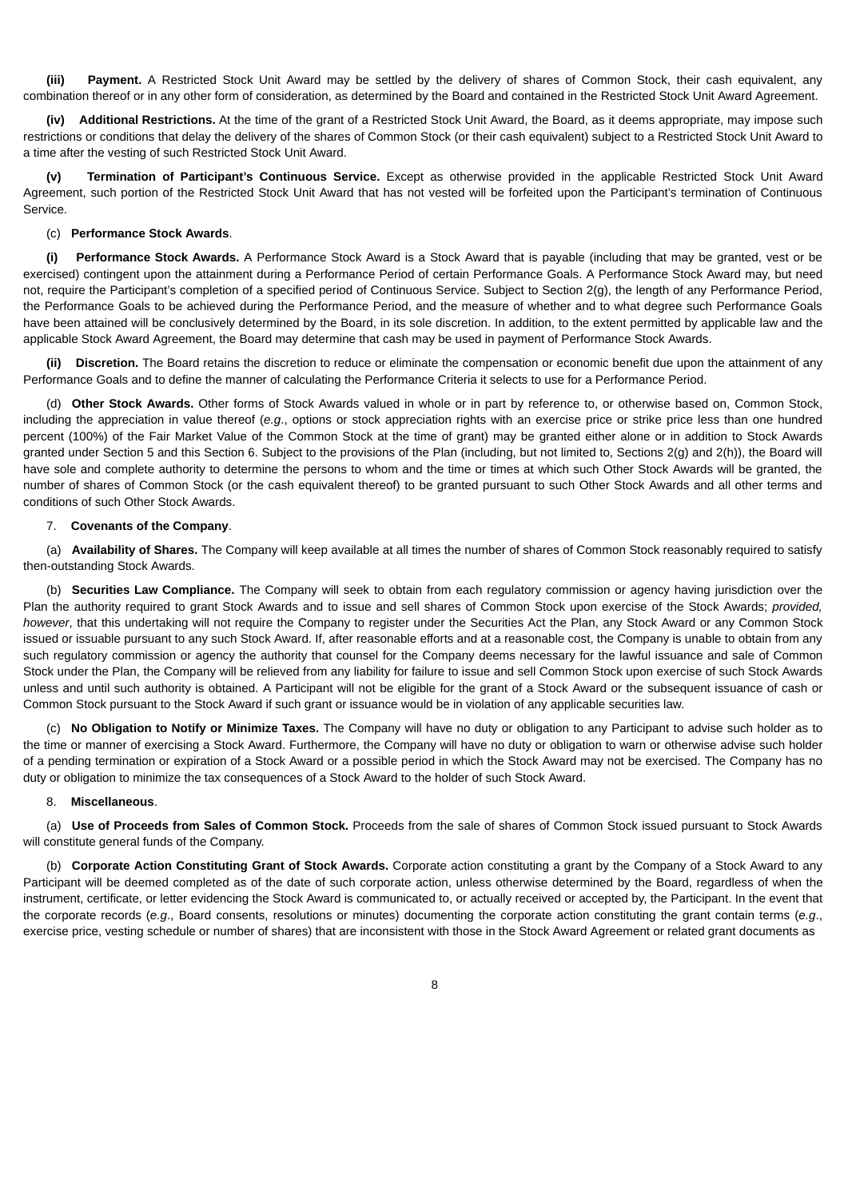**(iii) Payment.** A Restricted Stock Unit Award may be settled by the delivery of shares of Common Stock, their cash equivalent, any combination thereof or in any other form of consideration, as determined by the Board and contained in the Restricted Stock Unit Award Agreement.

**(iv) Additional Restrictions.** At the time of the grant of a Restricted Stock Unit Award, the Board, as it deems appropriate, may impose such restrictions or conditions that delay the delivery of the shares of Common Stock (or their cash equivalent) subject to a Restricted Stock Unit Award to a time after the vesting of such Restricted Stock Unit Award.

**(v) Termination of Participant's Continuous Service.** Except as otherwise provided in the applicable Restricted Stock Unit Award Agreement, such portion of the Restricted Stock Unit Award that has not vested will be forfeited upon the Participant's termination of Continuous Service.

#### (c) **Performance Stock Awards**.

**(i) Performance Stock Awards.** A Performance Stock Award is a Stock Award that is payable (including that may be granted, vest or be exercised) contingent upon the attainment during a Performance Period of certain Performance Goals. A Performance Stock Award may, but need not, require the Participant's completion of a specified period of Continuous Service. Subject to Section 2(g), the length of any Performance Period, the Performance Goals to be achieved during the Performance Period, and the measure of whether and to what degree such Performance Goals have been attained will be conclusively determined by the Board, in its sole discretion. In addition, to the extent permitted by applicable law and the applicable Stock Award Agreement, the Board may determine that cash may be used in payment of Performance Stock Awards.

**(ii) Discretion.** The Board retains the discretion to reduce or eliminate the compensation or economic benefit due upon the attainment of any Performance Goals and to define the manner of calculating the Performance Criteria it selects to use for a Performance Period.

(d) **Other Stock Awards.** Other forms of Stock Awards valued in whole or in part by reference to, or otherwise based on, Common Stock, including the appreciation in value thereof (*e.g*., options or stock appreciation rights with an exercise price or strike price less than one hundred percent (100%) of the Fair Market Value of the Common Stock at the time of grant) may be granted either alone or in addition to Stock Awards granted under Section 5 and this Section 6. Subject to the provisions of the Plan (including, but not limited to, Sections 2(g) and 2(h)), the Board will have sole and complete authority to determine the persons to whom and the time or times at which such Other Stock Awards will be granted, the number of shares of Common Stock (or the cash equivalent thereof) to be granted pursuant to such Other Stock Awards and all other terms and conditions of such Other Stock Awards.

### 7. **Covenants of the Company**.

(a) **Availability of Shares.** The Company will keep available at all times the number of shares of Common Stock reasonably required to satisfy then-outstanding Stock Awards.

(b) **Securities Law Compliance.** The Company will seek to obtain from each regulatory commission or agency having jurisdiction over the Plan the authority required to grant Stock Awards and to issue and sell shares of Common Stock upon exercise of the Stock Awards; *provided, however*, that this undertaking will not require the Company to register under the Securities Act the Plan, any Stock Award or any Common Stock issued or issuable pursuant to any such Stock Award. If, after reasonable efforts and at a reasonable cost, the Company is unable to obtain from any such regulatory commission or agency the authority that counsel for the Company deems necessary for the lawful issuance and sale of Common Stock under the Plan, the Company will be relieved from any liability for failure to issue and sell Common Stock upon exercise of such Stock Awards unless and until such authority is obtained. A Participant will not be eligible for the grant of a Stock Award or the subsequent issuance of cash or Common Stock pursuant to the Stock Award if such grant or issuance would be in violation of any applicable securities law.

(c) **No Obligation to Notify or Minimize Taxes.** The Company will have no duty or obligation to any Participant to advise such holder as to the time or manner of exercising a Stock Award. Furthermore, the Company will have no duty or obligation to warn or otherwise advise such holder of a pending termination or expiration of a Stock Award or a possible period in which the Stock Award may not be exercised. The Company has no duty or obligation to minimize the tax consequences of a Stock Award to the holder of such Stock Award.

#### 8. **Miscellaneous**.

(a) **Use of Proceeds from Sales of Common Stock.** Proceeds from the sale of shares of Common Stock issued pursuant to Stock Awards will constitute general funds of the Company.

(b) **Corporate Action Constituting Grant of Stock Awards.** Corporate action constituting a grant by the Company of a Stock Award to any Participant will be deemed completed as of the date of such corporate action, unless otherwise determined by the Board, regardless of when the instrument, certificate, or letter evidencing the Stock Award is communicated to, or actually received or accepted by, the Participant. In the event that the corporate records (*e.g*., Board consents, resolutions or minutes) documenting the corporate action constituting the grant contain terms (*e.g*., exercise price, vesting schedule or number of shares) that are inconsistent with those in the Stock Award Agreement or related grant documents as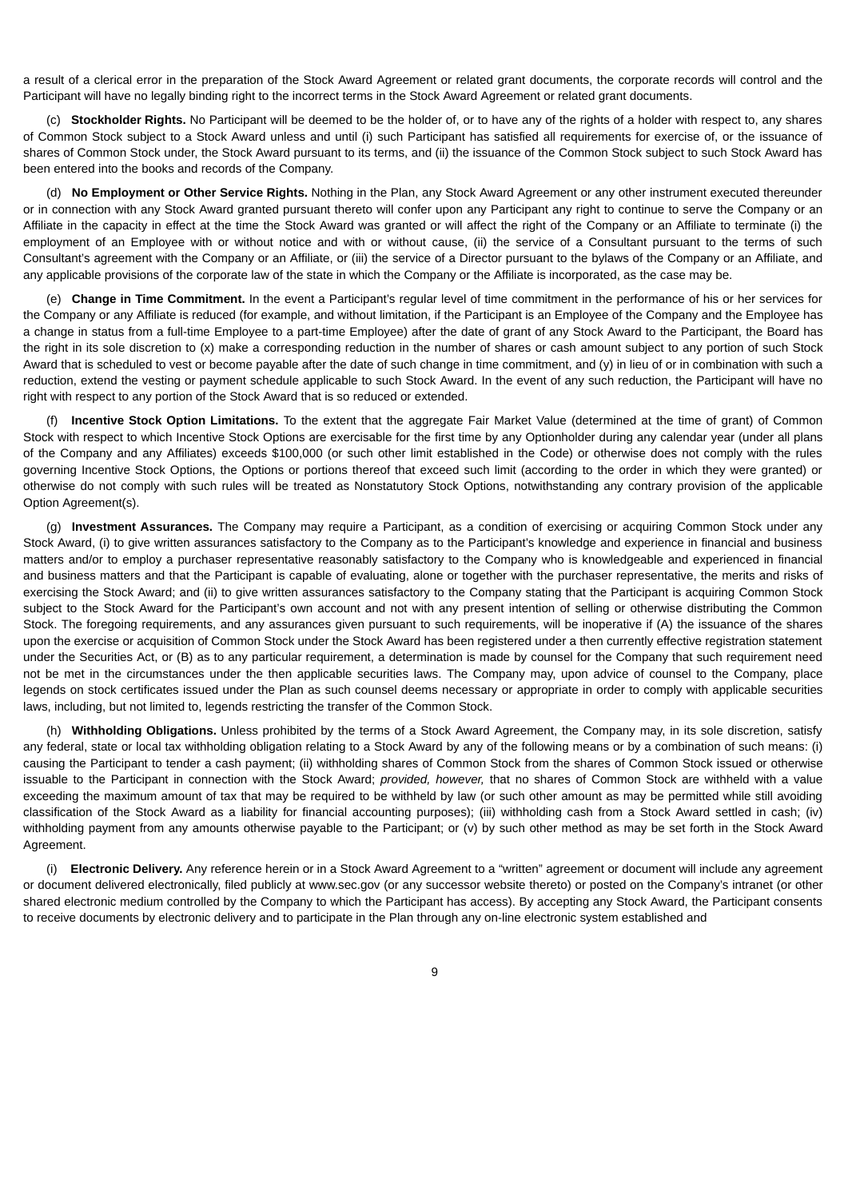a result of a clerical error in the preparation of the Stock Award Agreement or related grant documents, the corporate records will control and the Participant will have no legally binding right to the incorrect terms in the Stock Award Agreement or related grant documents.

(c) **Stockholder Rights.** No Participant will be deemed to be the holder of, or to have any of the rights of a holder with respect to, any shares of Common Stock subject to a Stock Award unless and until (i) such Participant has satisfied all requirements for exercise of, or the issuance of shares of Common Stock under, the Stock Award pursuant to its terms, and (ii) the issuance of the Common Stock subject to such Stock Award has been entered into the books and records of the Company.

(d) **No Employment or Other Service Rights.** Nothing in the Plan, any Stock Award Agreement or any other instrument executed thereunder or in connection with any Stock Award granted pursuant thereto will confer upon any Participant any right to continue to serve the Company or an Affiliate in the capacity in effect at the time the Stock Award was granted or will affect the right of the Company or an Affiliate to terminate (i) the employment of an Employee with or without notice and with or without cause, (ii) the service of a Consultant pursuant to the terms of such Consultant's agreement with the Company or an Affiliate, or (iii) the service of a Director pursuant to the bylaws of the Company or an Affiliate, and any applicable provisions of the corporate law of the state in which the Company or the Affiliate is incorporated, as the case may be.

(e) **Change in Time Commitment.** In the event a Participant's regular level of time commitment in the performance of his or her services for the Company or any Affiliate is reduced (for example, and without limitation, if the Participant is an Employee of the Company and the Employee has a change in status from a full-time Employee to a part-time Employee) after the date of grant of any Stock Award to the Participant, the Board has the right in its sole discretion to (x) make a corresponding reduction in the number of shares or cash amount subject to any portion of such Stock Award that is scheduled to vest or become payable after the date of such change in time commitment, and (y) in lieu of or in combination with such a reduction, extend the vesting or payment schedule applicable to such Stock Award. In the event of any such reduction, the Participant will have no right with respect to any portion of the Stock Award that is so reduced or extended.

(f) **Incentive Stock Option Limitations.** To the extent that the aggregate Fair Market Value (determined at the time of grant) of Common Stock with respect to which Incentive Stock Options are exercisable for the first time by any Optionholder during any calendar year (under all plans of the Company and any Affiliates) exceeds \$100,000 (or such other limit established in the Code) or otherwise does not comply with the rules governing Incentive Stock Options, the Options or portions thereof that exceed such limit (according to the order in which they were granted) or otherwise do not comply with such rules will be treated as Nonstatutory Stock Options, notwithstanding any contrary provision of the applicable Option Agreement(s).

(g) **Investment Assurances.** The Company may require a Participant, as a condition of exercising or acquiring Common Stock under any Stock Award, (i) to give written assurances satisfactory to the Company as to the Participant's knowledge and experience in financial and business matters and/or to employ a purchaser representative reasonably satisfactory to the Company who is knowledgeable and experienced in financial and business matters and that the Participant is capable of evaluating, alone or together with the purchaser representative, the merits and risks of exercising the Stock Award; and (ii) to give written assurances satisfactory to the Company stating that the Participant is acquiring Common Stock subject to the Stock Award for the Participant's own account and not with any present intention of selling or otherwise distributing the Common Stock. The foregoing requirements, and any assurances given pursuant to such requirements, will be inoperative if (A) the issuance of the shares upon the exercise or acquisition of Common Stock under the Stock Award has been registered under a then currently effective registration statement under the Securities Act, or (B) as to any particular requirement, a determination is made by counsel for the Company that such requirement need not be met in the circumstances under the then applicable securities laws. The Company may, upon advice of counsel to the Company, place legends on stock certificates issued under the Plan as such counsel deems necessary or appropriate in order to comply with applicable securities laws, including, but not limited to, legends restricting the transfer of the Common Stock.

(h) **Withholding Obligations.** Unless prohibited by the terms of a Stock Award Agreement, the Company may, in its sole discretion, satisfy any federal, state or local tax withholding obligation relating to a Stock Award by any of the following means or by a combination of such means: (i) causing the Participant to tender a cash payment; (ii) withholding shares of Common Stock from the shares of Common Stock issued or otherwise issuable to the Participant in connection with the Stock Award; *provided, however,* that no shares of Common Stock are withheld with a value exceeding the maximum amount of tax that may be required to be withheld by law (or such other amount as may be permitted while still avoiding classification of the Stock Award as a liability for financial accounting purposes); (iii) withholding cash from a Stock Award settled in cash; (iv) withholding payment from any amounts otherwise payable to the Participant; or (v) by such other method as may be set forth in the Stock Award Agreement.

(i) **Electronic Delivery.** Any reference herein or in a Stock Award Agreement to a "written" agreement or document will include any agreement or document delivered electronically, filed publicly at www.sec.gov (or any successor website thereto) or posted on the Company's intranet (or other shared electronic medium controlled by the Company to which the Participant has access). By accepting any Stock Award, the Participant consents to receive documents by electronic delivery and to participate in the Plan through any on-line electronic system established and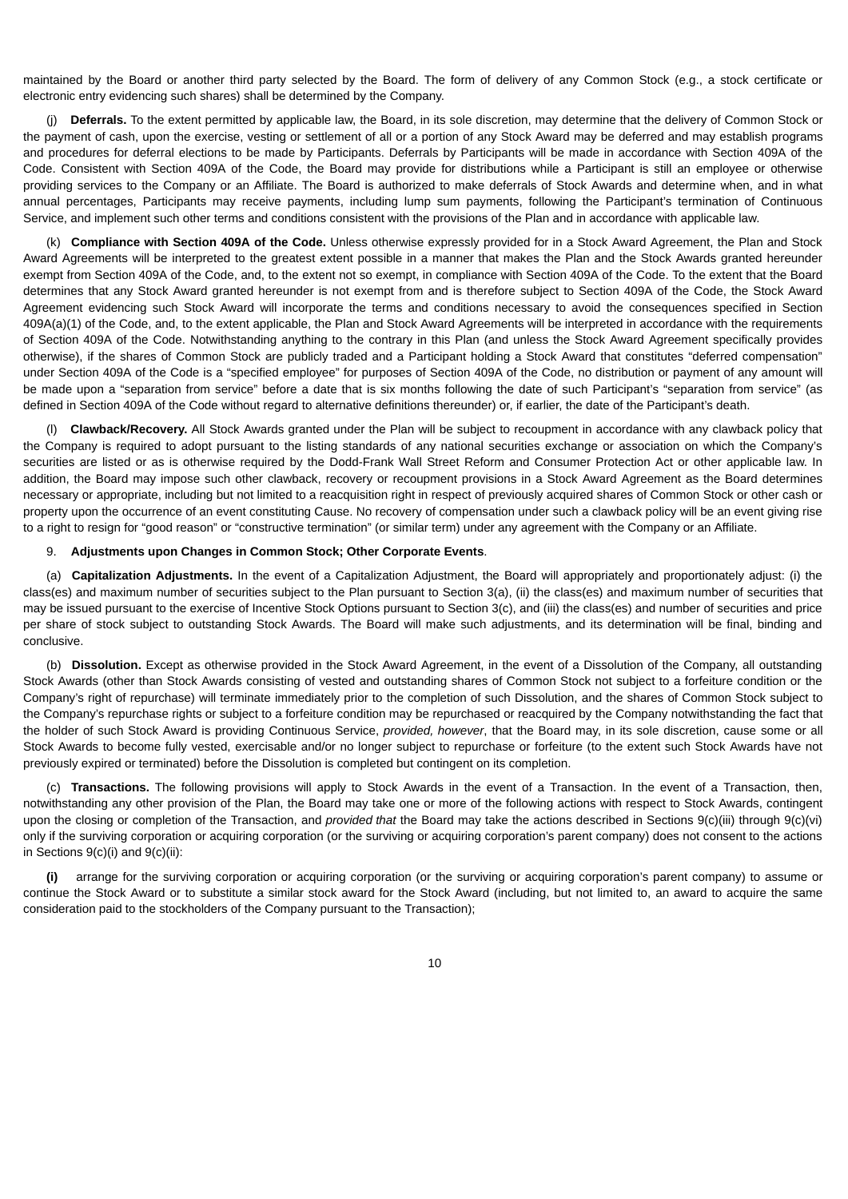maintained by the Board or another third party selected by the Board. The form of delivery of any Common Stock (e.g., a stock certificate or electronic entry evidencing such shares) shall be determined by the Company.

(j) **Deferrals.** To the extent permitted by applicable law, the Board, in its sole discretion, may determine that the delivery of Common Stock or the payment of cash, upon the exercise, vesting or settlement of all or a portion of any Stock Award may be deferred and may establish programs and procedures for deferral elections to be made by Participants. Deferrals by Participants will be made in accordance with Section 409A of the Code. Consistent with Section 409A of the Code, the Board may provide for distributions while a Participant is still an employee or otherwise providing services to the Company or an Affiliate. The Board is authorized to make deferrals of Stock Awards and determine when, and in what annual percentages, Participants may receive payments, including lump sum payments, following the Participant's termination of Continuous Service, and implement such other terms and conditions consistent with the provisions of the Plan and in accordance with applicable law.

(k) **Compliance with Section 409A of the Code.** Unless otherwise expressly provided for in a Stock Award Agreement, the Plan and Stock Award Agreements will be interpreted to the greatest extent possible in a manner that makes the Plan and the Stock Awards granted hereunder exempt from Section 409A of the Code, and, to the extent not so exempt, in compliance with Section 409A of the Code. To the extent that the Board determines that any Stock Award granted hereunder is not exempt from and is therefore subject to Section 409A of the Code, the Stock Award Agreement evidencing such Stock Award will incorporate the terms and conditions necessary to avoid the consequences specified in Section 409A(a)(1) of the Code, and, to the extent applicable, the Plan and Stock Award Agreements will be interpreted in accordance with the requirements of Section 409A of the Code. Notwithstanding anything to the contrary in this Plan (and unless the Stock Award Agreement specifically provides otherwise), if the shares of Common Stock are publicly traded and a Participant holding a Stock Award that constitutes "deferred compensation" under Section 409A of the Code is a "specified employee" for purposes of Section 409A of the Code, no distribution or payment of any amount will be made upon a "separation from service" before a date that is six months following the date of such Participant's "separation from service" (as defined in Section 409A of the Code without regard to alternative definitions thereunder) or, if earlier, the date of the Participant's death.

(l) **Clawback/Recovery.** All Stock Awards granted under the Plan will be subject to recoupment in accordance with any clawback policy that the Company is required to adopt pursuant to the listing standards of any national securities exchange or association on which the Company's securities are listed or as is otherwise required by the Dodd-Frank Wall Street Reform and Consumer Protection Act or other applicable law. In addition, the Board may impose such other clawback, recovery or recoupment provisions in a Stock Award Agreement as the Board determines necessary or appropriate, including but not limited to a reacquisition right in respect of previously acquired shares of Common Stock or other cash or property upon the occurrence of an event constituting Cause. No recovery of compensation under such a clawback policy will be an event giving rise to a right to resign for "good reason" or "constructive termination" (or similar term) under any agreement with the Company or an Affiliate.

## 9. **Adjustments upon Changes in Common Stock; Other Corporate Events**.

(a) **Capitalization Adjustments.** In the event of a Capitalization Adjustment, the Board will appropriately and proportionately adjust: (i) the class(es) and maximum number of securities subject to the Plan pursuant to Section 3(a), (ii) the class(es) and maximum number of securities that may be issued pursuant to the exercise of Incentive Stock Options pursuant to Section 3(c), and (iii) the class(es) and number of securities and price per share of stock subject to outstanding Stock Awards. The Board will make such adjustments, and its determination will be final, binding and conclusive.

(b) **Dissolution.** Except as otherwise provided in the Stock Award Agreement, in the event of a Dissolution of the Company, all outstanding Stock Awards (other than Stock Awards consisting of vested and outstanding shares of Common Stock not subject to a forfeiture condition or the Company's right of repurchase) will terminate immediately prior to the completion of such Dissolution, and the shares of Common Stock subject to the Company's repurchase rights or subject to a forfeiture condition may be repurchased or reacquired by the Company notwithstanding the fact that the holder of such Stock Award is providing Continuous Service, *provided, however*, that the Board may, in its sole discretion, cause some or all Stock Awards to become fully vested, exercisable and/or no longer subject to repurchase or forfeiture (to the extent such Stock Awards have not previously expired or terminated) before the Dissolution is completed but contingent on its completion.

(c) **Transactions.** The following provisions will apply to Stock Awards in the event of a Transaction. In the event of a Transaction, then, notwithstanding any other provision of the Plan, the Board may take one or more of the following actions with respect to Stock Awards, contingent upon the closing or completion of the Transaction, and *provided that* the Board may take the actions described in Sections 9(c)(iii) through 9(c)(vi) only if the surviving corporation or acquiring corporation (or the surviving or acquiring corporation's parent company) does not consent to the actions in Sections  $9(c)(i)$  and  $9(c)(ii)$ :

**(i)** arrange for the surviving corporation or acquiring corporation (or the surviving or acquiring corporation's parent company) to assume or continue the Stock Award or to substitute a similar stock award for the Stock Award (including, but not limited to, an award to acquire the same consideration paid to the stockholders of the Company pursuant to the Transaction);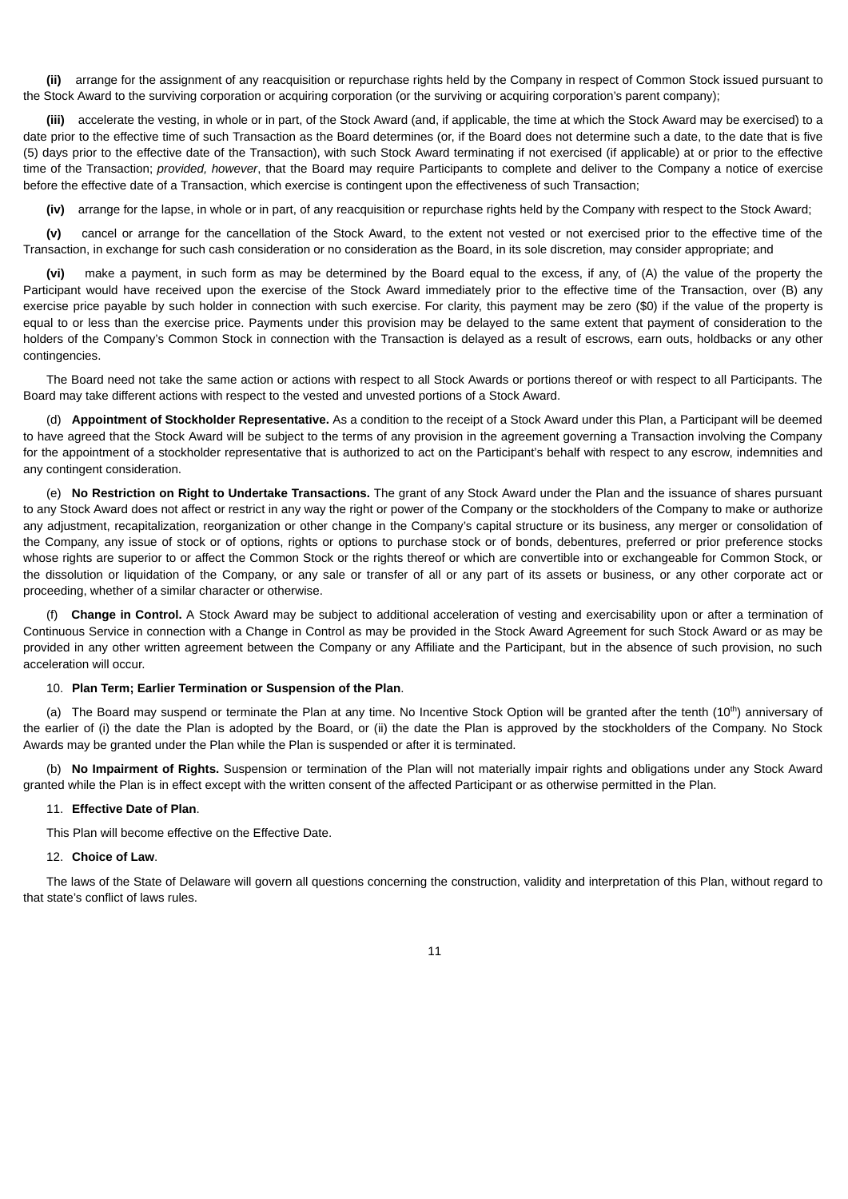**(ii)** arrange for the assignment of any reacquisition or repurchase rights held by the Company in respect of Common Stock issued pursuant to the Stock Award to the surviving corporation or acquiring corporation (or the surviving or acquiring corporation's parent company);

**(iii)** accelerate the vesting, in whole or in part, of the Stock Award (and, if applicable, the time at which the Stock Award may be exercised) to a date prior to the effective time of such Transaction as the Board determines (or, if the Board does not determine such a date, to the date that is five (5) days prior to the effective date of the Transaction), with such Stock Award terminating if not exercised (if applicable) at or prior to the effective time of the Transaction; *provided, however*, that the Board may require Participants to complete and deliver to the Company a notice of exercise before the effective date of a Transaction, which exercise is contingent upon the effectiveness of such Transaction;

**(iv)** arrange for the lapse, in whole or in part, of any reacquisition or repurchase rights held by the Company with respect to the Stock Award;

**(v)** cancel or arrange for the cancellation of the Stock Award, to the extent not vested or not exercised prior to the effective time of the Transaction, in exchange for such cash consideration or no consideration as the Board, in its sole discretion, may consider appropriate; and

**(vi)** make a payment, in such form as may be determined by the Board equal to the excess, if any, of (A) the value of the property the Participant would have received upon the exercise of the Stock Award immediately prior to the effective time of the Transaction, over (B) any exercise price payable by such holder in connection with such exercise. For clarity, this payment may be zero (\$0) if the value of the property is equal to or less than the exercise price. Payments under this provision may be delayed to the same extent that payment of consideration to the holders of the Company's Common Stock in connection with the Transaction is delayed as a result of escrows, earn outs, holdbacks or any other contingencies.

The Board need not take the same action or actions with respect to all Stock Awards or portions thereof or with respect to all Participants. The Board may take different actions with respect to the vested and unvested portions of a Stock Award.

(d) **Appointment of Stockholder Representative.** As a condition to the receipt of a Stock Award under this Plan, a Participant will be deemed to have agreed that the Stock Award will be subject to the terms of any provision in the agreement governing a Transaction involving the Company for the appointment of a stockholder representative that is authorized to act on the Participant's behalf with respect to any escrow, indemnities and any contingent consideration.

(e) **No Restriction on Right to Undertake Transactions.** The grant of any Stock Award under the Plan and the issuance of shares pursuant to any Stock Award does not affect or restrict in any way the right or power of the Company or the stockholders of the Company to make or authorize any adjustment, recapitalization, reorganization or other change in the Company's capital structure or its business, any merger or consolidation of the Company, any issue of stock or of options, rights or options to purchase stock or of bonds, debentures, preferred or prior preference stocks whose rights are superior to or affect the Common Stock or the rights thereof or which are convertible into or exchangeable for Common Stock, or the dissolution or liquidation of the Company, or any sale or transfer of all or any part of its assets or business, or any other corporate act or proceeding, whether of a similar character or otherwise.

(f) **Change in Control.** A Stock Award may be subject to additional acceleration of vesting and exercisability upon or after a termination of Continuous Service in connection with a Change in Control as may be provided in the Stock Award Agreement for such Stock Award or as may be provided in any other written agreement between the Company or any Affiliate and the Participant, but in the absence of such provision, no such acceleration will occur.

### 10. **Plan Term; Earlier Termination or Suspension of the Plan**.

(a) The Board may suspend or terminate the Plan at any time. No Incentive Stock Option will be granted after the tenth  $(10<sup>th</sup>)$  anniversary of the earlier of (i) the date the Plan is adopted by the Board, or (ii) the date the Plan is approved by the stockholders of the Company. No Stock Awards may be granted under the Plan while the Plan is suspended or after it is terminated.

(b) **No Impairment of Rights.** Suspension or termination of the Plan will not materially impair rights and obligations under any Stock Award granted while the Plan is in effect except with the written consent of the affected Participant or as otherwise permitted in the Plan.

### 11. **Effective Date of Plan**.

This Plan will become effective on the Effective Date.

#### 12. **Choice of Law**.

The laws of the State of Delaware will govern all questions concerning the construction, validity and interpretation of this Plan, without regard to that state's conflict of laws rules.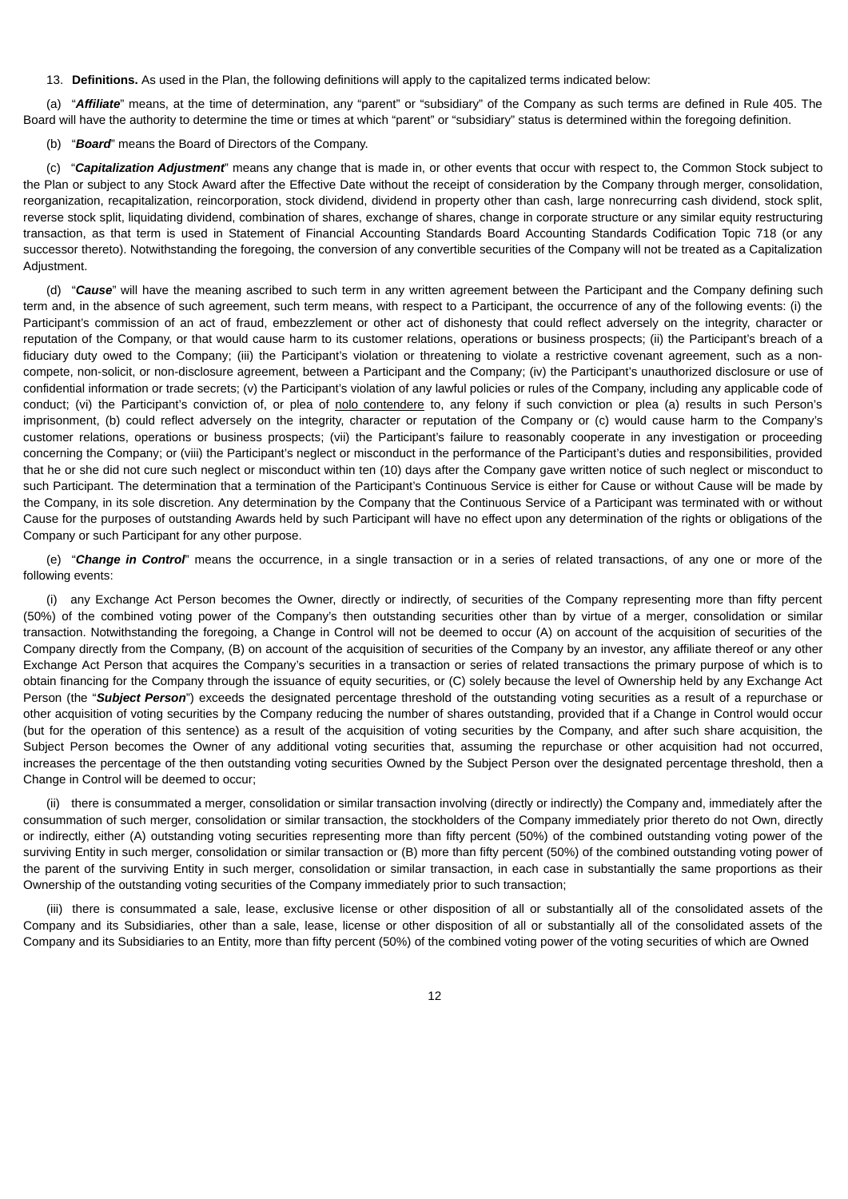13. **Definitions.** As used in the Plan, the following definitions will apply to the capitalized terms indicated below:

(a) "*Affiliate*" means, at the time of determination, any "parent" or "subsidiary" of the Company as such terms are defined in Rule 405. The Board will have the authority to determine the time or times at which "parent" or "subsidiary" status is determined within the foregoing definition.

(b) "*Board*" means the Board of Directors of the Company.

(c) "*Capitalization Adjustment*" means any change that is made in, or other events that occur with respect to, the Common Stock subject to the Plan or subject to any Stock Award after the Effective Date without the receipt of consideration by the Company through merger, consolidation, reorganization, recapitalization, reincorporation, stock dividend, dividend in property other than cash, large nonrecurring cash dividend, stock split, reverse stock split, liquidating dividend, combination of shares, exchange of shares, change in corporate structure or any similar equity restructuring transaction, as that term is used in Statement of Financial Accounting Standards Board Accounting Standards Codification Topic 718 (or any successor thereto). Notwithstanding the foregoing, the conversion of any convertible securities of the Company will not be treated as a Capitalization Adjustment.

(d) "*Cause*" will have the meaning ascribed to such term in any written agreement between the Participant and the Company defining such term and, in the absence of such agreement, such term means, with respect to a Participant, the occurrence of any of the following events: (i) the Participant's commission of an act of fraud, embezzlement or other act of dishonesty that could reflect adversely on the integrity, character or reputation of the Company, or that would cause harm to its customer relations, operations or business prospects; (ii) the Participant's breach of a fiduciary duty owed to the Company; (iii) the Participant's violation or threatening to violate a restrictive covenant agreement, such as a noncompete, non-solicit, or non-disclosure agreement, between a Participant and the Company; (iv) the Participant's unauthorized disclosure or use of confidential information or trade secrets; (v) the Participant's violation of any lawful policies or rules of the Company, including any applicable code of conduct; (vi) the Participant's conviction of, or plea of nolo contendere to, any felony if such conviction or plea (a) results in such Person's imprisonment, (b) could reflect adversely on the integrity, character or reputation of the Company or (c) would cause harm to the Company's customer relations, operations or business prospects; (vii) the Participant's failure to reasonably cooperate in any investigation or proceeding concerning the Company; or (viii) the Participant's neglect or misconduct in the performance of the Participant's duties and responsibilities, provided that he or she did not cure such neglect or misconduct within ten (10) days after the Company gave written notice of such neglect or misconduct to such Participant. The determination that a termination of the Participant's Continuous Service is either for Cause or without Cause will be made by the Company, in its sole discretion. Any determination by the Company that the Continuous Service of a Participant was terminated with or without Cause for the purposes of outstanding Awards held by such Participant will have no effect upon any determination of the rights or obligations of the Company or such Participant for any other purpose.

(e) "*Change in Control*" means the occurrence, in a single transaction or in a series of related transactions, of any one or more of the following events:

(i) any Exchange Act Person becomes the Owner, directly or indirectly, of securities of the Company representing more than fifty percent (50%) of the combined voting power of the Company's then outstanding securities other than by virtue of a merger, consolidation or similar transaction. Notwithstanding the foregoing, a Change in Control will not be deemed to occur (A) on account of the acquisition of securities of the Company directly from the Company, (B) on account of the acquisition of securities of the Company by an investor, any affiliate thereof or any other Exchange Act Person that acquires the Company's securities in a transaction or series of related transactions the primary purpose of which is to obtain financing for the Company through the issuance of equity securities, or (C) solely because the level of Ownership held by any Exchange Act Person (the "*Subject Person*") exceeds the designated percentage threshold of the outstanding voting securities as a result of a repurchase or other acquisition of voting securities by the Company reducing the number of shares outstanding, provided that if a Change in Control would occur (but for the operation of this sentence) as a result of the acquisition of voting securities by the Company, and after such share acquisition, the Subject Person becomes the Owner of any additional voting securities that, assuming the repurchase or other acquisition had not occurred, increases the percentage of the then outstanding voting securities Owned by the Subject Person over the designated percentage threshold, then a Change in Control will be deemed to occur;

(ii) there is consummated a merger, consolidation or similar transaction involving (directly or indirectly) the Company and, immediately after the consummation of such merger, consolidation or similar transaction, the stockholders of the Company immediately prior thereto do not Own, directly or indirectly, either (A) outstanding voting securities representing more than fifty percent (50%) of the combined outstanding voting power of the surviving Entity in such merger, consolidation or similar transaction or (B) more than fifty percent (50%) of the combined outstanding voting power of the parent of the surviving Entity in such merger, consolidation or similar transaction, in each case in substantially the same proportions as their Ownership of the outstanding voting securities of the Company immediately prior to such transaction;

(iii) there is consummated a sale, lease, exclusive license or other disposition of all or substantially all of the consolidated assets of the Company and its Subsidiaries, other than a sale, lease, license or other disposition of all or substantially all of the consolidated assets of the Company and its Subsidiaries to an Entity, more than fifty percent (50%) of the combined voting power of the voting securities of which are Owned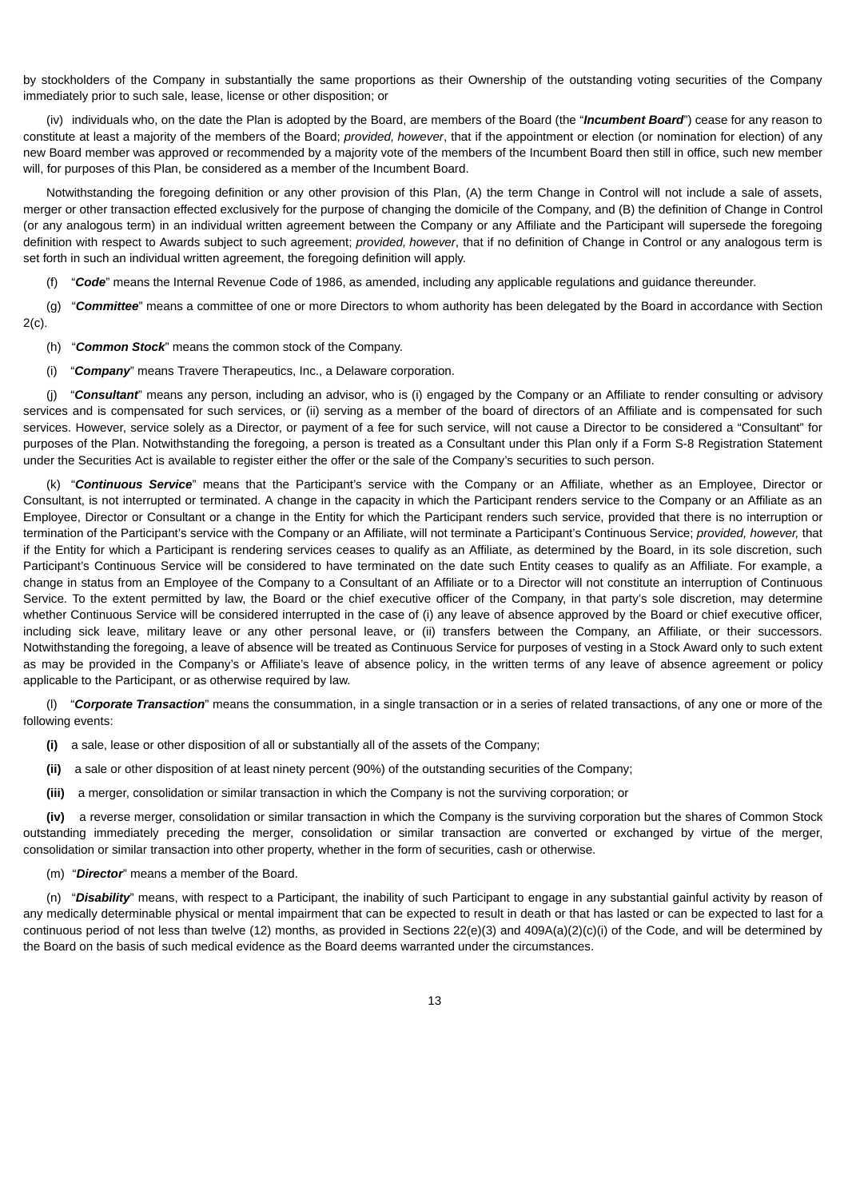by stockholders of the Company in substantially the same proportions as their Ownership of the outstanding voting securities of the Company immediately prior to such sale, lease, license or other disposition; or

(iv) individuals who, on the date the Plan is adopted by the Board, are members of the Board (the "*Incumbent Board*") cease for any reason to constitute at least a majority of the members of the Board; *provided, however*, that if the appointment or election (or nomination for election) of any new Board member was approved or recommended by a majority vote of the members of the Incumbent Board then still in office, such new member will, for purposes of this Plan, be considered as a member of the Incumbent Board.

Notwithstanding the foregoing definition or any other provision of this Plan, (A) the term Change in Control will not include a sale of assets, merger or other transaction effected exclusively for the purpose of changing the domicile of the Company, and (B) the definition of Change in Control (or any analogous term) in an individual written agreement between the Company or any Affiliate and the Participant will supersede the foregoing definition with respect to Awards subject to such agreement; *provided, however*, that if no definition of Change in Control or any analogous term is set forth in such an individual written agreement, the foregoing definition will apply.

"Code" means the Internal Revenue Code of 1986, as amended, including any applicable regulations and guidance thereunder.

(g) "*Committee*" means a committee of one or more Directors to whom authority has been delegated by the Board in accordance with Section 2(c).

- (h) "*Common Stock*" means the common stock of the Company.
- (i) "*Company*" means Travere Therapeutics, Inc., a Delaware corporation.

(j) "*Consultant*" means any person, including an advisor, who is (i) engaged by the Company or an Affiliate to render consulting or advisory services and is compensated for such services, or (ii) serving as a member of the board of directors of an Affiliate and is compensated for such services. However, service solely as a Director, or payment of a fee for such service, will not cause a Director to be considered a "Consultant" for purposes of the Plan. Notwithstanding the foregoing, a person is treated as a Consultant under this Plan only if a Form S-8 Registration Statement under the Securities Act is available to register either the offer or the sale of the Company's securities to such person.

(k) "*Continuous Service*" means that the Participant's service with the Company or an Affiliate, whether as an Employee, Director or Consultant, is not interrupted or terminated. A change in the capacity in which the Participant renders service to the Company or an Affiliate as an Employee, Director or Consultant or a change in the Entity for which the Participant renders such service, provided that there is no interruption or termination of the Participant's service with the Company or an Affiliate, will not terminate a Participant's Continuous Service; *provided, however,* that if the Entity for which a Participant is rendering services ceases to qualify as an Affiliate, as determined by the Board, in its sole discretion, such Participant's Continuous Service will be considered to have terminated on the date such Entity ceases to qualify as an Affiliate. For example, a change in status from an Employee of the Company to a Consultant of an Affiliate or to a Director will not constitute an interruption of Continuous Service. To the extent permitted by law, the Board or the chief executive officer of the Company, in that party's sole discretion, may determine whether Continuous Service will be considered interrupted in the case of (i) any leave of absence approved by the Board or chief executive officer, including sick leave, military leave or any other personal leave, or (ii) transfers between the Company, an Affiliate, or their successors. Notwithstanding the foregoing, a leave of absence will be treated as Continuous Service for purposes of vesting in a Stock Award only to such extent as may be provided in the Company's or Affiliate's leave of absence policy, in the written terms of any leave of absence agreement or policy applicable to the Participant, or as otherwise required by law.

(l) "*Corporate Transaction*" means the consummation, in a single transaction or in a series of related transactions, of any one or more of the following events:

- **(i)** a sale, lease or other disposition of all or substantially all of the assets of the Company;
- **(ii)** a sale or other disposition of at least ninety percent (90%) of the outstanding securities of the Company;
- **(iii)** a merger, consolidation or similar transaction in which the Company is not the surviving corporation; or

**(iv)** a reverse merger, consolidation or similar transaction in which the Company is the surviving corporation but the shares of Common Stock outstanding immediately preceding the merger, consolidation or similar transaction are converted or exchanged by virtue of the merger, consolidation or similar transaction into other property, whether in the form of securities, cash or otherwise.

(m) "*Director*" means a member of the Board.

(n) "*Disability*" means, with respect to a Participant, the inability of such Participant to engage in any substantial gainful activity by reason of any medically determinable physical or mental impairment that can be expected to result in death or that has lasted or can be expected to last for a continuous period of not less than twelve (12) months, as provided in Sections 22(e)(3) and 409A(a)(2)(c)(i) of the Code, and will be determined by the Board on the basis of such medical evidence as the Board deems warranted under the circumstances.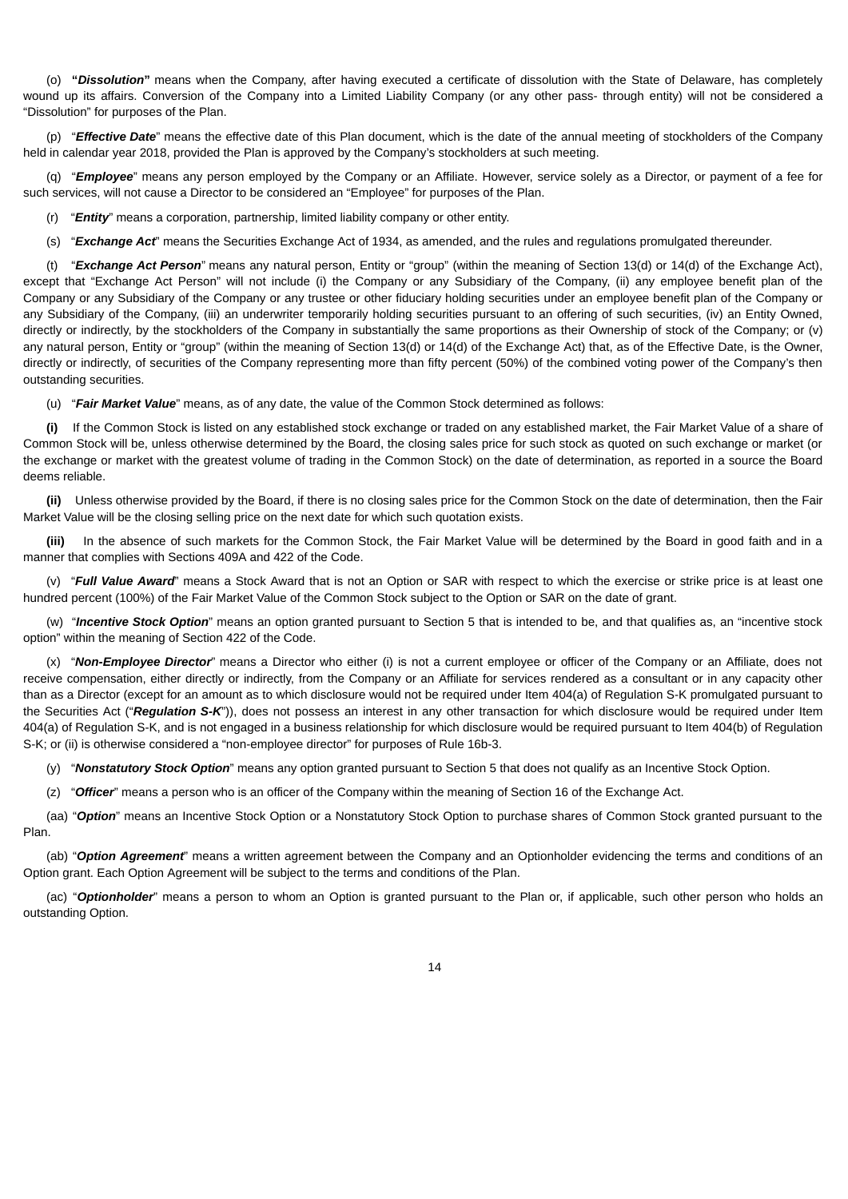(o) **"***Dissolution***"** means when the Company, after having executed a certificate of dissolution with the State of Delaware, has completely wound up its affairs. Conversion of the Company into a Limited Liability Company (or any other pass- through entity) will not be considered a "Dissolution" for purposes of the Plan.

(p) "*Effective Date*" means the effective date of this Plan document, which is the date of the annual meeting of stockholders of the Company held in calendar year 2018, provided the Plan is approved by the Company's stockholders at such meeting.

(q) "*Employee*" means any person employed by the Company or an Affiliate. However, service solely as a Director, or payment of a fee for such services, will not cause a Director to be considered an "Employee" for purposes of the Plan.

(r) "*Entity*" means a corporation, partnership, limited liability company or other entity.

(s) "*Exchange Act*" means the Securities Exchange Act of 1934, as amended, and the rules and regulations promulgated thereunder.

(t) "*Exchange Act Person*" means any natural person, Entity or "group" (within the meaning of Section 13(d) or 14(d) of the Exchange Act), except that "Exchange Act Person" will not include (i) the Company or any Subsidiary of the Company, (ii) any employee benefit plan of the Company or any Subsidiary of the Company or any trustee or other fiduciary holding securities under an employee benefit plan of the Company or any Subsidiary of the Company, (iii) an underwriter temporarily holding securities pursuant to an offering of such securities, (iv) an Entity Owned, directly or indirectly, by the stockholders of the Company in substantially the same proportions as their Ownership of stock of the Company; or (v) any natural person, Entity or "group" (within the meaning of Section 13(d) or 14(d) of the Exchange Act) that, as of the Effective Date, is the Owner, directly or indirectly, of securities of the Company representing more than fifty percent (50%) of the combined voting power of the Company's then outstanding securities.

(u) "*Fair Market Value*" means, as of any date, the value of the Common Stock determined as follows:

**(i)** If the Common Stock is listed on any established stock exchange or traded on any established market, the Fair Market Value of a share of Common Stock will be, unless otherwise determined by the Board, the closing sales price for such stock as quoted on such exchange or market (or the exchange or market with the greatest volume of trading in the Common Stock) on the date of determination, as reported in a source the Board deems reliable.

**(ii)** Unless otherwise provided by the Board, if there is no closing sales price for the Common Stock on the date of determination, then the Fair Market Value will be the closing selling price on the next date for which such quotation exists.

**(iii)** In the absence of such markets for the Common Stock, the Fair Market Value will be determined by the Board in good faith and in a manner that complies with Sections 409A and 422 of the Code.

(v) "*Full Value Award*" means a Stock Award that is not an Option or SAR with respect to which the exercise or strike price is at least one hundred percent (100%) of the Fair Market Value of the Common Stock subject to the Option or SAR on the date of grant.

(w) "*Incentive Stock Option*" means an option granted pursuant to Section 5 that is intended to be, and that qualifies as, an "incentive stock option" within the meaning of Section 422 of the Code.

(x) "*Non-Employee Director*" means a Director who either (i) is not a current employee or officer of the Company or an Affiliate, does not receive compensation, either directly or indirectly, from the Company or an Affiliate for services rendered as a consultant or in any capacity other than as a Director (except for an amount as to which disclosure would not be required under Item 404(a) of Regulation S-K promulgated pursuant to the Securities Act ("*Regulation S-K*")), does not possess an interest in any other transaction for which disclosure would be required under Item 404(a) of Regulation S-K, and is not engaged in a business relationship for which disclosure would be required pursuant to Item 404(b) of Regulation S-K; or (ii) is otherwise considered a "non-employee director" for purposes of Rule 16b-3.

(y) "*Nonstatutory Stock Option*" means any option granted pursuant to Section 5 that does not qualify as an Incentive Stock Option.

(z) "*Officer*" means a person who is an officer of the Company within the meaning of Section 16 of the Exchange Act.

(aa) "*Option*" means an Incentive Stock Option or a Nonstatutory Stock Option to purchase shares of Common Stock granted pursuant to the Plan.

(ab) "*Option Agreement*" means a written agreement between the Company and an Optionholder evidencing the terms and conditions of an Option grant. Each Option Agreement will be subject to the terms and conditions of the Plan.

(ac) "*Optionholder*" means a person to whom an Option is granted pursuant to the Plan or, if applicable, such other person who holds an outstanding Option.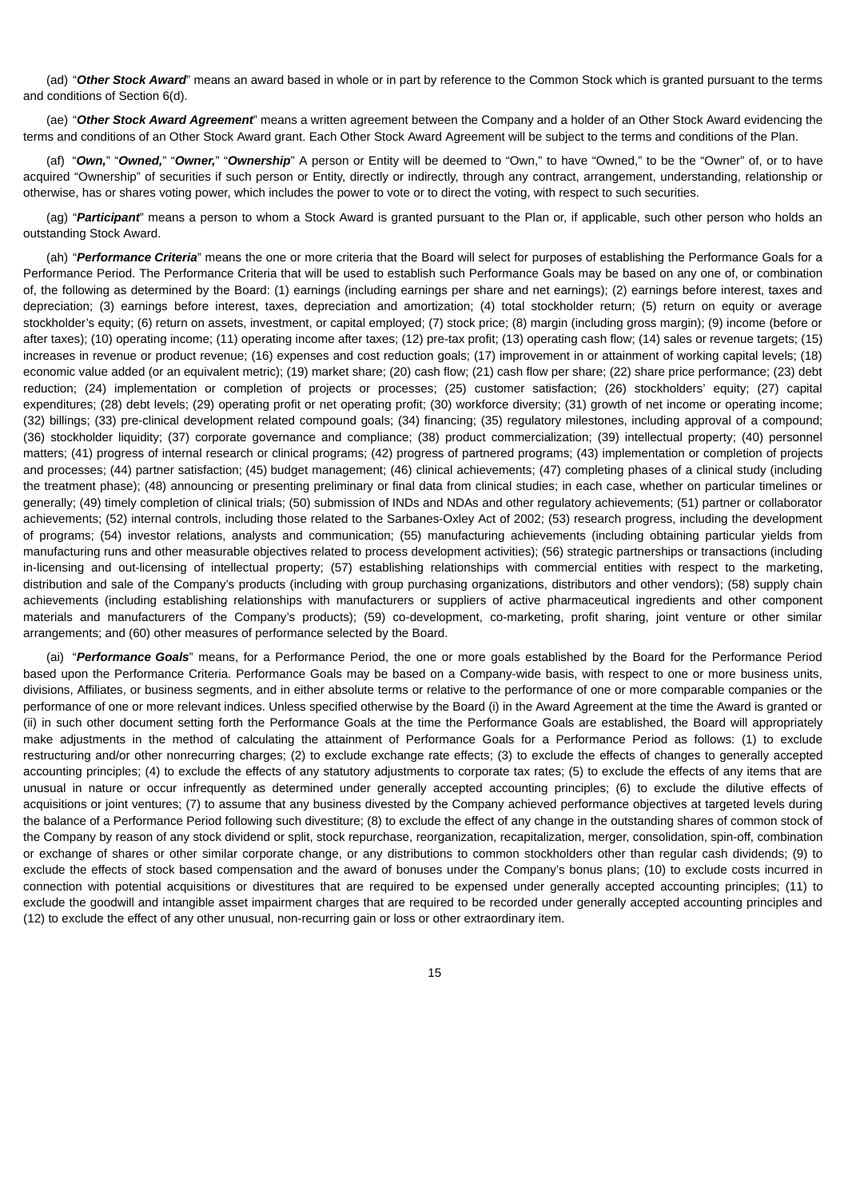(ad) "*Other Stock Award*" means an award based in whole or in part by reference to the Common Stock which is granted pursuant to the terms and conditions of Section 6(d).

(ae) "*Other Stock Award Agreement*" means a written agreement between the Company and a holder of an Other Stock Award evidencing the terms and conditions of an Other Stock Award grant. Each Other Stock Award Agreement will be subject to the terms and conditions of the Plan.

(af) "*Own,*" "*Owned,*" "*Owner,*" "*Ownership*" A person or Entity will be deemed to "Own," to have "Owned," to be the "Owner" of, or to have acquired "Ownership" of securities if such person or Entity, directly or indirectly, through any contract, arrangement, understanding, relationship or otherwise, has or shares voting power, which includes the power to vote or to direct the voting, with respect to such securities.

(ag) "*Participant*" means a person to whom a Stock Award is granted pursuant to the Plan or, if applicable, such other person who holds an outstanding Stock Award.

(ah) "*Performance Criteria*" means the one or more criteria that the Board will select for purposes of establishing the Performance Goals for a Performance Period. The Performance Criteria that will be used to establish such Performance Goals may be based on any one of, or combination of, the following as determined by the Board: (1) earnings (including earnings per share and net earnings); (2) earnings before interest, taxes and depreciation; (3) earnings before interest, taxes, depreciation and amortization; (4) total stockholder return; (5) return on equity or average stockholder's equity; (6) return on assets, investment, or capital employed; (7) stock price; (8) margin (including gross margin); (9) income (before or after taxes); (10) operating income; (11) operating income after taxes; (12) pre-tax profit; (13) operating cash flow; (14) sales or revenue targets; (15) increases in revenue or product revenue; (16) expenses and cost reduction goals; (17) improvement in or attainment of working capital levels; (18) economic value added (or an equivalent metric); (19) market share; (20) cash flow; (21) cash flow per share; (22) share price performance; (23) debt reduction; (24) implementation or completion of projects or processes; (25) customer satisfaction; (26) stockholders' equity; (27) capital expenditures; (28) debt levels; (29) operating profit or net operating profit; (30) workforce diversity; (31) growth of net income or operating income; (32) billings; (33) pre-clinical development related compound goals; (34) financing; (35) regulatory milestones, including approval of a compound; (36) stockholder liquidity; (37) corporate governance and compliance; (38) product commercialization; (39) intellectual property; (40) personnel matters; (41) progress of internal research or clinical programs; (42) progress of partnered programs; (43) implementation or completion of projects and processes; (44) partner satisfaction; (45) budget management; (46) clinical achievements; (47) completing phases of a clinical study (including the treatment phase); (48) announcing or presenting preliminary or final data from clinical studies; in each case, whether on particular timelines or generally; (49) timely completion of clinical trials; (50) submission of INDs and NDAs and other regulatory achievements; (51) partner or collaborator achievements; (52) internal controls, including those related to the Sarbanes-Oxley Act of 2002; (53) research progress, including the development of programs; (54) investor relations, analysts and communication; (55) manufacturing achievements (including obtaining particular yields from manufacturing runs and other measurable objectives related to process development activities); (56) strategic partnerships or transactions (including in-licensing and out-licensing of intellectual property; (57) establishing relationships with commercial entities with respect to the marketing, distribution and sale of the Company's products (including with group purchasing organizations, distributors and other vendors); (58) supply chain achievements (including establishing relationships with manufacturers or suppliers of active pharmaceutical ingredients and other component materials and manufacturers of the Company's products); (59) co-development, co-marketing, profit sharing, joint venture or other similar arrangements; and (60) other measures of performance selected by the Board.

(ai) "*Performance Goals*" means, for a Performance Period, the one or more goals established by the Board for the Performance Period based upon the Performance Criteria. Performance Goals may be based on a Company-wide basis, with respect to one or more business units, divisions, Affiliates, or business segments, and in either absolute terms or relative to the performance of one or more comparable companies or the performance of one or more relevant indices. Unless specified otherwise by the Board (i) in the Award Agreement at the time the Award is granted or (ii) in such other document setting forth the Performance Goals at the time the Performance Goals are established, the Board will appropriately make adjustments in the method of calculating the attainment of Performance Goals for a Performance Period as follows: (1) to exclude restructuring and/or other nonrecurring charges; (2) to exclude exchange rate effects; (3) to exclude the effects of changes to generally accepted accounting principles; (4) to exclude the effects of any statutory adjustments to corporate tax rates; (5) to exclude the effects of any items that are unusual in nature or occur infrequently as determined under generally accepted accounting principles; (6) to exclude the dilutive effects of acquisitions or joint ventures; (7) to assume that any business divested by the Company achieved performance objectives at targeted levels during the balance of a Performance Period following such divestiture; (8) to exclude the effect of any change in the outstanding shares of common stock of the Company by reason of any stock dividend or split, stock repurchase, reorganization, recapitalization, merger, consolidation, spin-off, combination or exchange of shares or other similar corporate change, or any distributions to common stockholders other than regular cash dividends; (9) to exclude the effects of stock based compensation and the award of bonuses under the Company's bonus plans; (10) to exclude costs incurred in connection with potential acquisitions or divestitures that are required to be expensed under generally accepted accounting principles; (11) to exclude the goodwill and intangible asset impairment charges that are required to be recorded under generally accepted accounting principles and (12) to exclude the effect of any other unusual, non-recurring gain or loss or other extraordinary item.